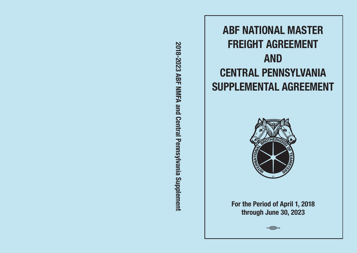2018-2023 ABF NMFA and Central Pennsylvania Supplement **2018-2023 ABF NMFA and Central Pennsylvania Supplement**





**For the Period of April 1, 2018 through June 30, 2023**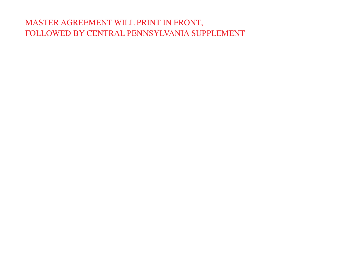# MASTER AGREEMENT WILL PRINT IN FRONT, FOLLOWED BY CENTRAL PENNSYLVANIA SUPPLEMENT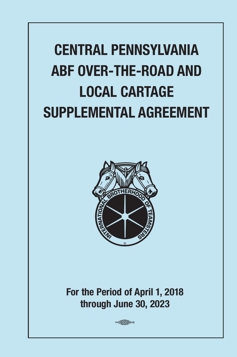# **CENTRAL PENNSYLVANIA ABF OVER-THE-ROAD AND LOCAL CARTAGE SUPPLEMENTAL AGREEMENT**



**For the Period of April 1, 2018 through June 30, 2023**

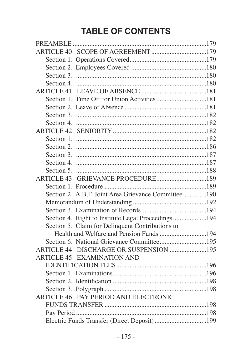# **TABLE OF CONTENTS**

| Section 1. Time Off for Union Activities181         |  |
|-----------------------------------------------------|--|
|                                                     |  |
|                                                     |  |
|                                                     |  |
|                                                     |  |
|                                                     |  |
|                                                     |  |
|                                                     |  |
|                                                     |  |
|                                                     |  |
|                                                     |  |
|                                                     |  |
| Section 2. A.B.F. Joint Area Grievance Committee190 |  |
|                                                     |  |
|                                                     |  |
| Section 4. Right to Institute Legal Proceedings194  |  |
| Section 5. Claim for Delinquent Contributions to    |  |
| Health and Welfare and Pension Funds 194            |  |
| Section 6. National Grievance Committee195          |  |
| ARTICLE 44. DISCHARGE OR SUSPENSION 195             |  |
| ARTICLE 45. EXAMINATION AND                         |  |
|                                                     |  |
|                                                     |  |
|                                                     |  |
|                                                     |  |
| ARTICLE 46. PAY PERIOD AND ELECTRONIC               |  |
|                                                     |  |
|                                                     |  |
|                                                     |  |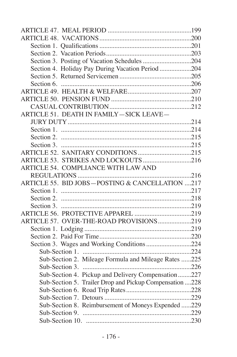| Section 4. Holiday Pay During Vacation Period 204       |  |
|---------------------------------------------------------|--|
|                                                         |  |
|                                                         |  |
|                                                         |  |
|                                                         |  |
|                                                         |  |
| ARTICLE 51. DEATH IN FAMILY-SICK LEAVE-                 |  |
|                                                         |  |
|                                                         |  |
|                                                         |  |
|                                                         |  |
|                                                         |  |
|                                                         |  |
| ARTICLE 54. COMPLIANCE WITH LAW AND                     |  |
|                                                         |  |
| ARTICLE 55. BID JOBS-POSTING & CANCELLATION 217         |  |
|                                                         |  |
|                                                         |  |
|                                                         |  |
|                                                         |  |
| ARTICLE 57. OVER-THE-ROAD PROVISIONS219                 |  |
|                                                         |  |
|                                                         |  |
|                                                         |  |
|                                                         |  |
| Sub-Section 2. Mileage Formula and Mileage Rates 225    |  |
|                                                         |  |
| Sub-Section 4. Pickup and Delivery Compensation227      |  |
| Sub-Section 5. Trailer Drop and Pickup Compensation 228 |  |
|                                                         |  |
|                                                         |  |
| Sub-Section 8. Reimbursement of Moneys Expended 229     |  |
|                                                         |  |
|                                                         |  |
|                                                         |  |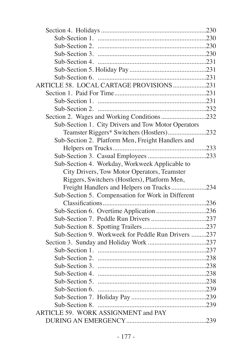| ARTICLE 58. LOCAL CARTAGE PROVISIONS231             |  |
|-----------------------------------------------------|--|
|                                                     |  |
|                                                     |  |
|                                                     |  |
| Section 2. Wages and Working Conditions 232         |  |
| Sub-Section 1. City Drivers and Tow Motor Operators |  |
| Teamster Riggers* Switchers (Hostlers)232           |  |
| Sub-Section 2. Platform Men, Freight Handlers and   |  |
|                                                     |  |
|                                                     |  |
| Sub-Section 4. Workday, Workweek Applicable to      |  |
| City Drivers, Tow Motor Operators, Teamster         |  |
| Riggers, Switchers (Hostlers), Platform Men,        |  |
| Freight Handlers and Helpers on Trucks234           |  |
| Sub-Section 5. Compensation for Work in Different   |  |
|                                                     |  |
| Sub-Section 6. Overtime Application 236             |  |
|                                                     |  |
|                                                     |  |
| Sub-Section 9. Workweek for Peddle Run Drivers 237  |  |
|                                                     |  |
|                                                     |  |
|                                                     |  |
|                                                     |  |
|                                                     |  |
|                                                     |  |
|                                                     |  |
|                                                     |  |
|                                                     |  |
|                                                     |  |
| ARTICLE 59. WORK ASSIGNMENT and PAY                 |  |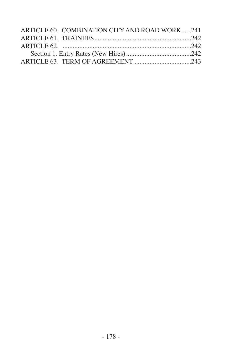| ARTICLE 60. COMBINATION CITY AND ROAD WORK241 |  |
|-----------------------------------------------|--|
|                                               |  |
|                                               |  |
|                                               |  |
|                                               |  |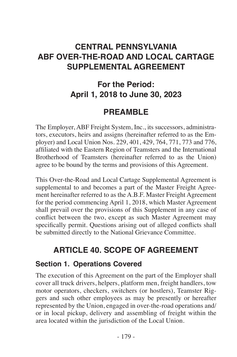# **CENTRAL PENNSYLVANIA ABF OVER-THE-ROAD AND LOCAL CARTAGE SUPPLEMENTAL AGREEMENT**

# **For the Period: April 1, 2018 to June 30, 2023**

### **PREAMBLE**

The Employer, ABF Freight System, Inc., its successors, administrators, executors, heirs and assigns (hereinafter referred to as the Employer) and Local Union Nos. 229, 401, 429, 764, 771, 773 and 776, affiliated with the Eastern Region of Teamsters and the International Brotherhood of Teamsters (hereinafter referred to as the Union) agree to be bound by the terms and provisions of this Agreement.

This Over-the-Road and Local Cartage Supplemental Agreement is supplemental to and becomes a part of the Master Freight Agreement hereinafter referred to as the A.B.F. Master Freight Agreement for the period commencing April 1, 2018, which Master Agreement shall prevail over the provisions of this Supplement in any case of conflict between the two, except as such Master Agreement may specifically permit. Questions arising out of alleged conflicts shall be submitted directly to the National Grievance Committee.

# **ARTICLE 40. SCOPE OF AGREEMENT**

#### **Section 1. Operations Covered**

The execution of this Agreement on the part of the Employer shall cover all truck drivers, helpers, platform men, freight handlers, tow motor operators, checkers, switchers (or hostlers), Teamster Riggers and such other employees as may be presently or hereafter represented by the Union, engaged in over-the-road operations and/ or in local pickup, delivery and assembling of freight within the area located within the jurisdiction of the Local Union.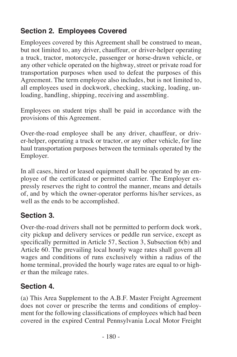### **Section 2. Employees Covered**

Employees covered by this Agreement shall be construed to mean, but not limited to, any driver, chauffeur, or driver-helper operating a truck, tractor, motorcycle, passenger or horse-drawn vehicle, or any other vehicle operated on the highway, street or private road for transportation purposes when used to defeat the purposes of this Agreement. The term employee also includes, but is not limited to, all employees used in dockwork, checking, stacking, loading, unloading, handling, shipping, receiving and assembling.

Employees on student trips shall be paid in accordance with the provisions of this Agreement.

Over-the-road employee shall be any driver, chauffeur, or driver-helper, operating a truck or tractor, or any other vehicle, for line haul transportation purposes between the terminals operated by the Employer.

In all cases, hired or leased equipment shall be operated by an employee of the certificated or permitted carrier. The Employer expressly reserves the right to control the manner, means and details of, and by which the owner-operator performs his/her services, as well as the ends to be accomplished.

#### **Section 3.**

Over-the-road drivers shall not be permitted to perform dock work, city pickup and delivery services or peddle run service, except as specifically permitted in Article 57, Section 3, Subsection 6(b) and Article 60. The prevailing local hourly wage rates shall govern all wages and conditions of runs exclusively within a radius of the home terminal, provided the hourly wage rates are equal to or higher than the mileage rates.

#### **Section 4.**

(a) This Area Supplement to the A.B.F. Master Freight Agreement does not cover or prescribe the terms and conditions of employment for the following classifications of employees which had been covered in the expired Central Pennsylvania Local Motor Freight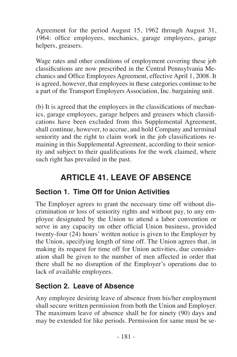Agreement for the period August 15, 1962 through August 31, 1964: office employees, mechanics, garage employees, garage helpers, greasers.

Wage rates and other conditions of employment covering these job classifications are now prescribed in the Central Pennsylvania Mechanics and Office Employees Agreement, effective April 1, 2008. It is agreed, however, that employees in these categories continue to be a part of the Transport Employers Association, Inc. bargaining unit.

(b) It is agreed that the employees in the classifications of mechanics, garage employees, garage helpers and greasers which classifications have been excluded from this Supplemental Agreement, shall continue, however, to accrue, and hold Company and terminal seniority and the right to claim work in the job classifications remaining in this Supplemental Agreement, according to their seniority and subject to their qualifications for the work claimed, where such right has prevailed in the past.

# **ARTICLE 41. LEAVE OF ABSENCE**

#### **Section 1. Time Off for Union Activities**

The Employer agrees to grant the necessary time off without discrimination or loss of seniority rights and without pay, to any employee designated by the Union to attend a labor convention or serve in any capacity on other official Union business, provided twenty-four (24) hours' written notice is given to the Employer by the Union, specifying length of time off. The Union agrees that, in making its request for time off for Union activities, due consideration shall be given to the number of men affected in order that there shall be no disruption of the Employer's operations due to lack of available employees.

#### **Section 2. Leave of Absence**

Any employee desiring leave of absence from his/her employment shall secure written permission from both the Union and Employer. The maximum leave of absence shall be for ninety (90) days and may be extended for like periods. Permission for same must be se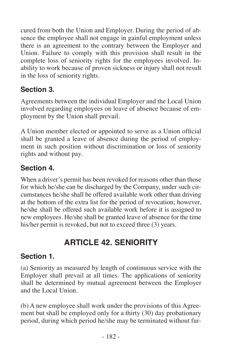cured from both the Union and Employer. During the period of absence the employee shall not engage in gainful employment unless there is an agreement to the contrary between the Employer and Union. Failure to comply with this provision shall result in the complete loss of seniority rights for the employees involved. Inability to work because of proven sickness or injury shall not result in the loss of seniority rights.

#### **Section 3.**

Agreements between the individual Employer and the Local Union involved regarding employees on leave of absence because of employment by the Union shall prevail.

A Union member elected or appointed to serve as a Union official shall be granted a leave of absence during the period of employment in such position without discrimination or loss of seniority rights and without pay.

### **Section 4.**

When a driver's permit has been revoked for reasons other than those for which he/she can be discharged by the Company, under such circumstances he/she shall be offered available work other than driving at the bottom of the extra list for the period of revocation; however, he/she shall be offered such available work before it is assigned to new employees. He/she shall be granted leave of absence for the time his/her permit is revoked, but not to exceed three (3) years.

# **ARTICLE 42. SENIORITY**

### **Section 1.**

(a) Seniority as measured by length of continuous service with the Employer shall prevail at all times. The applications of seniority shall be determined by mutual agreement between the Employer and the Local Union.

(b) A new employee shall work under the provisions of this Agreement but shall be employed only for a thirty (30) day probationary period, during which period he/she may be terminated without fur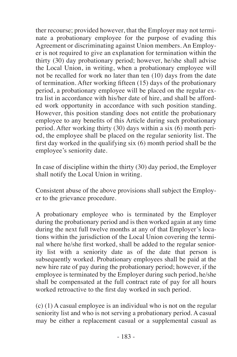ther recourse; provided however, that the Employer may not terminate a probationary employee for the purpose of evading this Agreement or discriminating against Union members. An Employer is not required to give an explanation for termination within the thirty (30) day probationary period; however, he/she shall advise the Local Union, in writing, when a probationary employee will not be recalled for work no later than ten (10) days from the date of termination. After working fifteen (15) days of the probationary period, a probationary employee will be placed on the regular extra list in accordance with his/her date of hire, and shall be afforded work opportunity in accordance with such position standing. However, this position standing does not entitle the probationary employee to any benefits of this Article during such probationary period. After working thirty (30) days within a six (6) month period, the employee shall be placed on the regular seniority list. The first day worked in the qualifying six (6) month period shall be the employee's seniority date.

In case of discipline within the thirty (30) day period, the Employer shall notify the Local Union in writing.

Consistent abuse of the above provisions shall subject the Employer to the grievance procedure.

A probationary employee who is terminated by the Employer during the probationary period and is then worked again at any time during the next full twelve months at any of that Employer's locations within the jurisdiction of the Local Union covering the terminal where he/she first worked, shall be added to the regular seniority list with a seniority date as of the date that person is subsequently worked. Probationary employees shall be paid at the new hire rate of pay during the probationary period; however, if the employee is terminated by the Employer during such period, he/she shall be compensated at the full contract rate of pay for all hours worked retroactive to the first day worked in such period.

(c) (1) A casual employee is an individual who is not on the regular seniority list and who is not serving a probationary period. A casual may be either a replacement casual or a supplemental casual as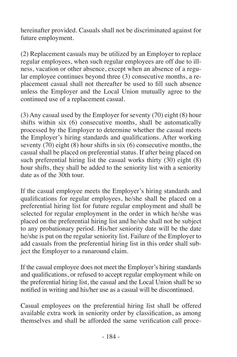hereinafter provided. Casuals shall not be discriminated against for future employment.

(2) Replacement casuals may be utilized by an Employer to replace regular employees, when such regular employees are off due to illness, vacation or other absence, except when an absence of a regular employee continues beyond three (3) consecutive months, a replacement casual shall not thereafter be used to fill such absence unless the Employer and the Local Union mutually agree to the continued use of a replacement casual.

(3) Any casual used by the Employer for seventy (70) eight (8) hour shifts within six (6) consecutive months, shall be automatically processed by the Employer to determine whether the casual meets the Employer's hiring standards and qualifications. After working seventy  $(70)$  eight  $(8)$  hour shifts in six  $(6)$  consecutive months, the casual shall be placed on preferential status. If after being placed on such preferential hiring list the casual works thirty  $(30)$  eight  $(8)$ hour shifts, they shall be added to the seniority list with a seniority date as of the 30th tour.

If the casual employee meets the Employer's hiring standards and qualifications for regular employees, he/she shall be placed on a preferential hiring list for future regular employment and shall be selected for regular employment in the order in which he/she was placed on the preferential hiring list and he/she shall not be subject to any probationary period. His/her seniority date will be the date he/she is put on the regular seniority list. Failure of the Employer to add casuals from the preferential hiring list in this order shall subject the Employer to a runaround claim.

If the casual employee does not meet the Employer's hiring standards and qualifications, or refused to accept regular employment while on the preferential hiring list, the casual and the Local Union shall be so notified in writing and his/her use as a casual will be discontinued.

Casual employees on the preferential hiring list shall be offered available extra work in seniority order by classification, as among themselves and shall be afforded the same verification call proce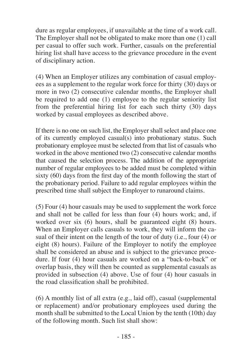dure as regular employees, if unavailable at the time of a work call. The Employer shall not be obligated to make more than one (1) call per casual to offer such work. Further, casuals on the preferential hiring list shall have access to the grievance procedure in the event of disciplinary action.

(4) When an Employer utilizes any combination of casual employees as a supplement to the regular work force for thirty (30) days or more in two (2) consecutive calendar months, the Employer shall be required to add one (1) employee to the regular seniority list from the preferential hiring list for each such thirty (30) days worked by casual employees as described above.

If there is no one on such list, the Employer shall select and place one of its currently employed casual(s) into probationary status. Such probationary employee must be selected from that list of casuals who worked in the above mentioned two (2) consecutive calendar months that caused the selection process. The addition of the appropriate number of regular employees to be added must be completed within sixty (60) days from the first day of the month following the start of the probationary period. Failure to add regular employees within the prescribed time shall subject the Employer to runaround claims.

(5) Four (4) hour casuals may be used to supplement the work force and shall not be called for less than four  $(4)$  hours work; and, if worked over six (6) hours, shall be guaranteed eight (8) hours. When an Employer calls casuals to work, they will inform the casual of their intent on the length of the tour of duty (i.e., four (4) or eight (8) hours). Failure of the Employer to notify the employee shall be considered an abuse and is subject to the grievance procedure. If four (4) hour casuals are worked on a "back-to-back" or overlap basis, they will then be counted as supplemental casuals as provided in subsection (4) above. Use of four (4) hour casuals in the road classification shall be prohibited.

(6) A monthly list of all extra (e.g., laid off), casual (supplemental or replacement) and/or probationary employees used during the month shall be submitted to the Local Union by the tenth (10th) day of the following month. Such list shall show: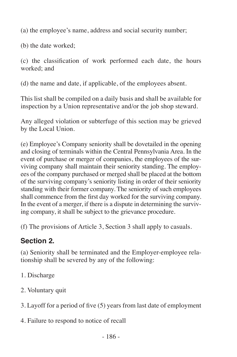(a) the employee's name, address and social security number;

(b) the date worked;

(c) the classification of work performed each date, the hours worked; and

(d) the name and date, if applicable, of the employees absent.

This list shall be compiled on a daily basis and shall be available for inspection by a Union representative and/or the job shop steward.

Any alleged violation or subterfuge of this section may be grieved by the Local Union.

(e) Employee's Company seniority shall be dovetailed in the opening and closing of terminals within the Central Pennsylvania Area. In the event of purchase or merger of companies, the employees of the surviving company shall maintain their seniority standing. The employees of the company purchased or merged shall be placed at the bottom of the surviving company's seniority listing in order of their seniority standing with their former company. The seniority of such employees shall commence from the first day worked for the surviving company. In the event of a merger, if there is a dispute in determining the surviving company, it shall be subject to the grievance procedure.

(f) The provisions of Article 3, Section 3 shall apply to casuals.

# **Section 2.**

(a) Seniority shall be terminated and the Employer-employee relationship shall be severed by any of the following:

- 1. Discharge
- 2. Voluntary quit
- 3. Layoff for a period of five (5) years from last date of employment
- 4. Failure to respond to notice of recall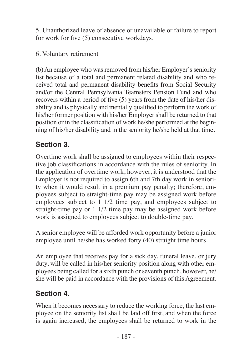5. Unauthorized leave of absence or unavailable or failure to report for work for five (5) consecutive workdays.

#### 6. Voluntary retirement

(b) An employee who was removed from his/her Employer's seniority list because of a total and permanent related disability and who received total and permanent disability benefits from Social Security and/or the Central Pennsylvania Teamsters Pension Fund and who recovers within a period of five (5) years from the date of his/her disability and is physically and mentally qualified to perform the work of his/her former position with his/her Employer shall be returned to that position or in the classification of work he/she performed at the beginning of his/her disability and in the seniority he/she held at that time.

#### **Section 3.**

Overtime work shall be assigned to employees within their respective job classifications in accordance with the rules of seniority. In the application of overtime work, however, it is understood that the Employer is not required to assign 6th and 7th day work in seniority when it would result in a premium pay penalty; therefore, employees subject to straight-time pay may be assigned work before employees subject to 1 1/2 time pay, and employees subject to straight-time pay or 1 1/2 time pay may be assigned work before work is assigned to employees subject to double-time pay.

A senior employee will be afforded work opportunity before a junior employee until he/she has worked forty (40) straight time hours.

An employee that receives pay for a sick day, funeral leave, or jury duty, will be called in his/her seniority position along with other employees being called for a sixth punch or seventh punch, however, he/ she will be paid in accordance with the provisions of this Agreement.

#### **Section 4.**

When it becomes necessary to reduce the working force, the last employee on the seniority list shall be laid off first, and when the force is again increased, the employees shall be returned to work in the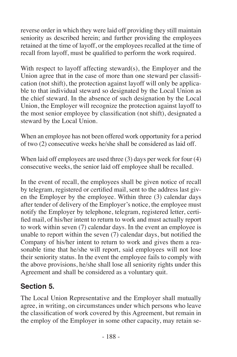reverse order in which they were laid off providing they still maintain seniority as described herein; and further providing the employees retained at the time of layoff, or the employees recalled at the time of recall from layoff, must be qualified to perform the work required.

With respect to layoff affecting steward(s), the Employer and the Union agree that in the case of more than one steward per classification (not shift), the protection against layoff will only be applicable to that individual steward so designated by the Local Union as the chief steward. In the absence of such designation by the Local Union, the Employer will recognize the protection against layoff to the most senior employee by classification (not shift), designated a steward by the Local Union.

When an employee has not been offered work opportunity for a period of two (2) consecutive weeks he/she shall be considered as laid off.

When laid off employees are used three (3) days per week for four (4) consecutive weeks, the senior laid off employee shall be recalled.

In the event of recall, the employees shall be given notice of recall by telegram, registered or certified mail, sent to the address last given the Employer by the employee. Within three (3) calendar days after tender of delivery of the Employer's notice, the employee must notify the Employer by telephone, telegram, registered letter, certified mail, of his/her intent to return to work and must actually report to work within seven (7) calendar days. In the event an employee is unable to report within the seven (7) calendar days, but notified the Company of his/her intent to return to work and gives them a reasonable time that he/she will report, said employees will not lose their seniority status. In the event the employee fails to comply with the above provisions, he/she shall lose all seniority rights under this Agreement and shall be considered as a voluntary quit.

#### **Section 5.**

The Local Union Representative and the Employer shall mutually agree, in writing, on circumstances under which persons who leave the classification of work covered by this Agreement, but remain in the employ of the Employer in some other capacity, may retain se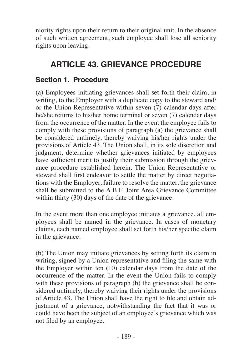niority rights upon their return to their original unit. In the absence of such written agreement, such employee shall lose all seniority rights upon leaving.

# **ARTICLE 43. GRIEVANCE PROCEDURE**

#### **Section 1. Procedure**

(a) Employees initiating grievances shall set forth their claim, in writing, to the Employer with a duplicate copy to the steward and/ or the Union Representative within seven (7) calendar days after he/she returns to his/her home terminal or seven (7) calendar days from the occurrence of the matter. In the event the employee fails to comply with these provisions of paragraph (a) the grievance shall be considered untimely, thereby waiving his/her rights under the provisions of Article 43. The Union shall, in its sole discretion and judgment, determine whether grievances initiated by employees have sufficient merit to justify their submission through the grievance procedure established herein. The Union Representative or steward shall first endeavor to settle the matter by direct negotiations with the Employer, failure to resolve the matter, the grievance shall be submitted to the A.B.F. Joint Area Grievance Committee within thirty (30) days of the date of the grievance.

In the event more than one employee initiates a grievance, all employees shall be named in the grievance. In cases of monetary claims, each named employee shall set forth his/her specific claim in the grievance.

(b) The Union may initiate grievances by setting forth its claim in writing, signed by a Union representative and filing the same with the Employer within ten (10) calendar days from the date of the occurrence of the matter. In the event the Union fails to comply with these provisions of paragraph (b) the grievance shall be considered untimely, thereby waiving their rights under the provisions of Article 43. The Union shall have the right to file and obtain adjustment of a grievance, notwithstanding the fact that it was or could have been the subject of an employee's grievance which was not filed by an employee.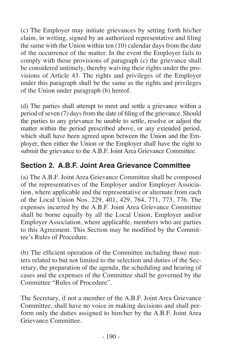(c) The Employer may initiate grievances by setting forth his/her claim, in writing, signed by an authorized representative and filing the same with the Union within ten (10) calendar days from the date of the occurrence of the matter. In the event the Employer fails to comply with those provisions of paragraph (c) the grievance shall be considered untimely, thereby waiving their rights under the provisions of Article 43. The rights and privileges of the Employer under this paragraph shall be the same as the rights and privileges of the Union under paragraph (b) hereof.

(d) The parties shall attempt to meet and settle a grievance within a period of seven  $(7)$  days from the date of filing of the grievance. Should the parties to any grievance be unable to settle, resolve or adjust the matter within the period prescribed above, or any extended period, which shall have been agreed upon between the Union and the Employer, then either the Union or the Employer shall have the right to submit the grievance to the A.B.F. Joint Area Grievance Committee.

#### **Section 2. A.B.F. Joint Area Grievance Committee**

(a) The A.B.F. Joint Area Grievance Committee shall be composed of the representatives of the Employer and/or Employer Association, where applicable and the representative or alternate from each of the Local Union Nos. 229, 401, 429, 764, 771, 773, 776. The expenses incurred by the A.B.F. Joint Area Grievance Committee shall be borne equally by all the Local Union, Employer and/or Employer Association, where applicable, members who are parties to this Agreement. This Section may be modified by the Committee's Rules of Procedure.

(b) The efficient operation of the Committee including those matters related to but not limited to the selection and duties of the Secretary, the preparation of the agenda, the scheduling and hearing of cases and the expenses of the Committee shall be governed by the Committee "Rules of Procedure".

The Secretary, if not a member of the A.B.F. Joint Area Grievance Committee, shall have no voice in making decisions and shall perform only the duties assigned to him/her by the A.B.F. Joint Area Grievance Committee.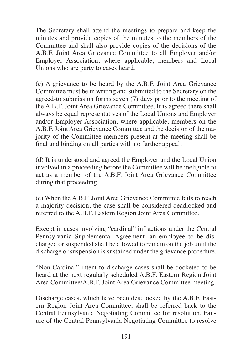The Secretary shall attend the meetings to prepare and keep the minutes and provide copies of the minutes to the members of the Committee and shall also provide copies of the decisions of the A.B.F. Joint Area Grievance Committee to all Employer and/or Employer Association, where applicable, members and Local Unions who are party to cases heard.

(c) A grievance to be heard by the A.B.F. Joint Area Grievance Committee must be in writing and submitted to the Secretary on the agreed-to submission forms seven (7) days prior to the meeting of the A.B.F. Joint Area Grievance Committee. It is agreed there shall always be equal representatives of the Local Unions and Employer and/or Employer Association, where applicable, members on the A.B.F. Joint Area Grievance Committee and the decision of the majority of the Committee members present at the meeting shall be final and binding on all parties with no further appeal.

(d) It is understood and agreed the Employer and the Local Union involved in a proceeding before the Committee will be ineligible to act as a member of the A.B.F. Joint Area Grievance Committee during that proceeding.

(e) When the A.B.F. Joint Area Grievance Committee fails to reach a majority decision, the case shall be considered deadlocked and referred to the A.B.F. Eastern Region Joint Area Committee.

Except in cases involving "cardinal" infractions under the Central Pennsylvania Supplemental Agreement, an employee to be discharged or suspended shall be allowed to remain on the job until the discharge or suspension is sustained under the grievance procedure.

"Non-Cardinal" intent to discharge cases shall be docketed to be heard at the next regularly scheduled A.B.F. Eastern Region Joint Area Committee/A.B.F. Joint Area Grievance Committee meeting.

Discharge cases, which have been deadlocked by the A.B.F. Eastern Region Joint Area Committee, shall be referred back to the Central Pennsylvania Negotiating Committee for resolution. Failure of the Central Pennsylvania Negotiating Committee to resolve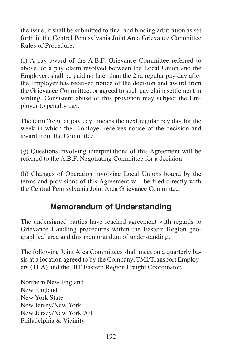the issue, it shall be submitted to final and binding arbitration as set forth in the Central Pennsylvania Joint Area Grievance Committee Rules of Procedure.

(f) A pay award of the A.B.F. Grievance Committee referred to above, or a pay claim resolved between the Local Union and the Employer, shall be paid no later than the 2nd regular pay day after the Employer has received notice of the decision and award from the Grievance Committee, or agreed to such pay claim settlement in writing. Consistent abuse of this provision may subject the Employer to penalty pay.

The term "regular pay day" means the next regular pay day for the week in which the Employer receives notice of the decision and award from the Committee.

(g) Questions involving interpretations of this Agreement will be referred to the A.B.F. Negotiating Committee for a decision.

(h) Changes of Operation involving Local Unions bound by the terms and provisions of this Agreement will be filed directly with the Central Pennsylvania Joint Area Grievance Committee.

### **Memorandum of Understanding**

The undersigned parties have reached agreement with regards to Grievance Handling procedures within the Eastern Region geographical area and this memorandum of understanding.

The following Joint Area Committees shall meet on a quarterly basis at a location agreed to by the Company, TMI/Transport Employers (TEA) and the IBT Eastern Region Freight Coordinator.

Northern New England New England New York State New Jersey/New York New Jersey/New York 701 Philadelphia & Vicinity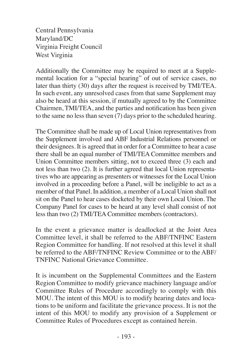Central Pennsylvania Maryland/DC Virginia Freight Council West Virginia

Additionally the Committee may be required to meet at a Supplemental location for a "special hearing" of out of service cases, no later than thirty (30) days after the request is received by TMI/TEA. In such event, any unresolved cases from that same Supplement may also be heard at this session, if mutually agreed to by the Committee Chairmen, TMI/TEA, and the parties and notification has been given to the same no less than seven  $(7)$  days prior to the scheduled hearing.

The Committee shall be made up of Local Union representatives from the Supplement involved and ABF Industrial Relations personnel or their designees. It is agreed that in order for a Committee to hear a case there shall be an equal number of TMI/TEA Committee members and Union Committee members sitting, not to exceed three (3) each and not less than two (2). It is further agreed that local Union representatives who are appearing as presenters or witnesses for the Local Union involved in a proceeding before a Panel, will be ineligible to act as a member of that Panel. In addition, a member of a Local Union shall not sit on the Panel to hear cases docketed by their own Local Union. The Company Panel for cases to be heard at any level shall consist of not less than two (2) TMI/TEA Committee members (contractors).

In the event a grievance matter is deadlocked at the Joint Area Committee level, it shall be referred to the ABF/TNFINC Eastern Region Committee for handling. If not resolved at this level it shall be referred to the ABF/TNFINC Review Committee or to the ABF/ TNFINC National Grievance Committee.

It is incumbent on the Supplemental Committees and the Eastern Region Committee to modify grievance machinery language and/or Committee Rules of Procedure accordingly to comply with this MOU. The intent of this MOU is to modify hearing dates and locations to be uniform and facilitate the grievance process. It is not the intent of this MOU to modify any provision of a Supplement or Committee Rules of Procedures except as contained herein.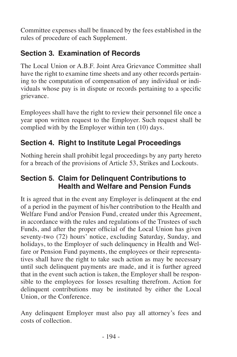Committee expenses shall be financed by the fees established in the rules of procedure of each Supplement.

# **Section 3. Examination of Records**

The Local Union or A.B.F. Joint Area Grievance Committee shall have the right to examine time sheets and any other records pertaining to the computation of compensation of any individual or individuals whose pay is in dispute or records pertaining to a specific grievance.

Employees shall have the right to review their personnel file once a year upon written request to the Employer. Such request shall be complied with by the Employer within ten (10) days.

#### **Section 4. Right to Institute Legal Proceedings**

Nothing herein shall prohibit legal proceedings by any party hereto for a breach of the provisions of Article 53, Strikes and Lockouts.

#### **Section 5. Claim for Delinquent Contributions to Health and Welfare and Pension Funds**

It is agreed that in the event any Employer is delinquent at the end of a period in the payment of his/her contribution to the Health and Welfare Fund and/or Pension Fund, created under this Agreement, in accordance with the rules and regulations of the Trustees of such Funds, and after the proper official of the Local Union has given seventy-two (72) hours' notice, excluding Saturday, Sunday, and holidays, to the Employer of such delinquency in Health and Welfare or Pension Fund payments, the employees or their representatives shall have the right to take such action as may be necessary until such delinquent payments are made, and it is further agreed that in the event such action is taken, the Employer shall be responsible to the employees for losses resulting therefrom. Action for delinquent contributions may be instituted by either the Local Union, or the Conference.

Any delinquent Employer must also pay all attorney's fees and costs of collection.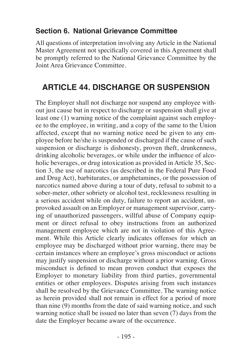#### **Section 6. National Grievance Committee**

All questions of interpretation involving any Article in the National Master Agreement not specifically covered in this Agreement shall be promptly referred to the National Grievance Committee by the Joint Area Grievance Committee.

# **ARTICLE 44. DISCHARGE OR SUSPENSION**

The Employer shall not discharge nor suspend any employee without just cause but in respect to discharge or suspension shall give at least one (1) warning notice of the complaint against such employee to the employee, in writing, and a copy of the same to the Union affected, except that no warning notice need be given to any employee before he/she is suspended or discharged if the cause of such suspension or discharge is dishonesty, proven theft, drunkenness, drinking alcoholic beverages, or while under the influence of alcoholic beverages, or drug intoxication as provided in Article 35, Section 3, the use of narcotics (as described in the Federal Pure Food and Drug Act), barbiturates, or amphetamines, or the possession of narcotics named above during a tour of duty, refusal to submit to a sober-meter, other sobriety or alcohol test, recklessness resulting in a serious accident while on duty, failure to report an accident, unprovoked assault on an Employer or management supervisor, carrying of unauthorized passengers, willful abuse of Company equipment or direct refusal to obey instructions from an authorized management employee which are not in violation of this Agreement. While this Article clearly indicates offenses for which an employee may be discharged without prior warning, there may be certain instances where an employee's gross misconduct or actions may justify suspension or discharge without a prior warning. Gross misconduct is defined to mean proven conduct that exposes the Employer to monetary liability from third parties, governmental entities or other employees. Disputes arising from such instances shall be resolved by the Grievance Committee. The warning notice as herein provided shall not remain in effect for a period of more than nine (9) months from the date of said warning notice, and such warning notice shall be issued no later than seven  $(7)$  days from the date the Employer became aware of the occurrence.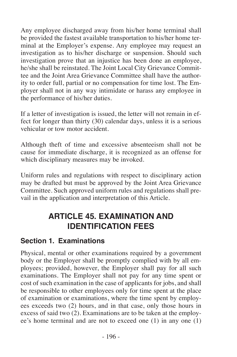Any employee discharged away from his/her home terminal shall be provided the fastest available transportation to his/her home terminal at the Employer's expense. Any employee may request an investigation as to his/her discharge or suspension. Should such investigation prove that an injustice has been done an employee, he/she shall be reinstated. The Joint Local City Grievance Committee and the Joint Area Grievance Committee shall have the authority to order full, partial or no compensation for time lost. The Employer shall not in any way intimidate or harass any employee in the performance of his/her duties.

If a letter of investigation is issued, the letter will not remain in effect for longer than thirty (30) calendar days, unless it is a serious vehicular or tow motor accident.

Although theft of time and excessive absenteeism shall not be cause for immediate discharge, it is recognized as an offense for which disciplinary measures may be invoked.

Uniform rules and regulations with respect to disciplinary action may be drafted but must be approved by the Joint Area Grievance Committee. Such approved uniform rules and regulations shall prevail in the application and interpretation of this Article.

# **ARTICLE 45. EXAMINATION AND IDENTIFICATION FEES**

#### **Section 1. Examinations**

Physical, mental or other examinations required by a government body or the Employer shall be promptly complied with by all employees; provided, however, the Employer shall pay for all such examinations. The Employer shall not pay for any time spent or cost of such examination in the case of applicants for jobs, and shall be responsible to other employees only for time spent at the place of examination or examinations, where the time spent by employees exceeds two (2) hours, and in that case, only those hours in excess of said two (2). Examinations are to be taken at the employee's home terminal and are not to exceed one (1) in any one (1)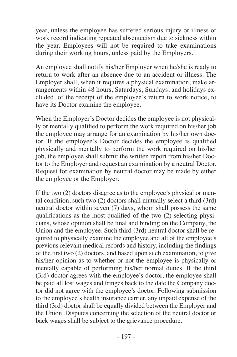year, unless the employee has suffered serious injury or illness or work record indicating repeated absenteeism due to sickness within the year. Employees will not be required to take examinations during their working hours, unless paid by the Employers.

An employee shall notify his/her Employer when he/she is ready to return to work after an absence due to an accident or illness. The Employer shall, when it requires a physical examination, make arrangements within 48 hours, Saturdays, Sundays, and holidays excluded, of the receipt of the employee's return to work notice, to have its Doctor examine the employee.

When the Employer's Doctor decides the employee is not physically or mentally qualified to perform the work required on his/her job the employee may arrange for an examination by his/her own doctor. If the employee's Doctor decides the employee is qualified physically and mentally to perform the work required on his/her job, the employee shall submit the written report from his/her Doctor to the Employer and request an examination by a neutral Doctor. Request for examination by neutral doctor may be made by either the employee or the Employer.

If the two (2) doctors disagree as to the employee's physical or mental condition, such two (2) doctors shall mutually select a third (3rd) neutral doctor within seven (7) days, whom shall possess the same qualifications as the most qualified of the two  $(2)$  selecting physicians, whose opinion shall be final and binding on the Company, the Union and the employee. Such third (3rd) neutral doctor shall be required to physically examine the employee and all of the employee's previous relevant medical records and history, including the findings of the first two (2) doctors, and based upon such examination, to give his/her opinion as to whether or not the employee is physically or mentally capable of performing his/her normal duties. If the third (3rd) doctor agrees with the employee's doctor, the employee shall be paid all lost wages and fringes back to the date the Company doctor did not agree with the employee's doctor. Following submission to the employee's health insurance carrier, any unpaid expense of the third (3rd) doctor shall be equally divided between the Employer and the Union. Disputes concerning the selection of the neutral doctor or back wages shall be subject to the grievance procedure.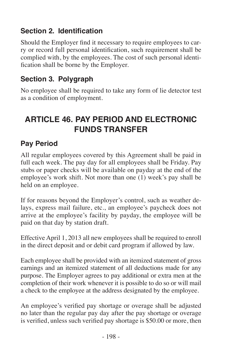#### **Section 2. Identification**

Should the Employer find it necessary to require employees to carry or record full personal identification, such requirement shall be complied with, by the employees. The cost of such personal identification shall be borne by the Employer.

#### **Section 3. Polygraph**

No employee shall be required to take any form of lie detector test as a condition of employment.

# **ARTICLE 46. PAY PERIOD AND ELECTRONIC FUNDS TRANSFER**

#### **Pay Period**

All regular employees covered by this Agreement shall be paid in full each week. The pay day for all employees shall be Friday. Pay stubs or paper checks will be available on payday at the end of the employee's work shift. Not more than one (1) week's pay shall be held on an employee.

If for reasons beyond the Employer's control, such as weather delays, express mail failure, etc., an employee's paycheck does not arrive at the employee's facility by payday, the employee will be paid on that day by station draft.

Effective April 1, 2013 all new employees shall be required to enroll in the direct deposit and or debit card program if allowed by law.

Each employee shall be provided with an itemized statement of gross earnings and an itemized statement of all deductions made for any purpose. The Employer agrees to pay additional or extra men at the completion of their work whenever it is possible to do so or will mail a check to the employee at the address designated by the employee.

An employee's verified pay shortage or overage shall be adjusted no later than the regular pay day after the pay shortage or overage is verified, unless such verified pay shortage is \$50.00 or more, then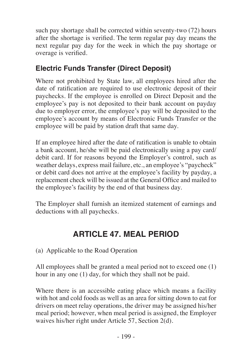such pay shortage shall be corrected within seventy-two (72) hours after the shortage is verified. The term regular pay day means the next regular pay day for the week in which the pay shortage or overage is verified.

#### **Electric Funds Transfer (Direct Deposit)**

Where not prohibited by State law, all employees hired after the date of ratification are required to use electronic deposit of their paychecks. If the employee is enrolled on Direct Deposit and the employee's pay is not deposited to their bank account on payday due to employer error, the employee's pay will be deposited to the employee's account by means of Electronic Funds Transfer or the employee will be paid by station draft that same day.

If an employee hired after the date of ratification is unable to obtain a bank account, he/she will be paid electronically using a pay card/ debit card. If for reasons beyond the Employer's control, such as weather delays, express mail failure, etc., an employee's "paycheck" or debit card does not arrive at the employee's facility by payday, a replacement check will be issued at the General Office and mailed to the employee's facility by the end of that business day.

The Employer shall furnish an itemized statement of earnings and deductions with all paychecks.

# **ARTICLE 47. MEAL PERIOD**

(a) Applicable to the Road Operation

All employees shall be granted a meal period not to exceed one (1) hour in any one (1) day, for which they shall not be paid.

Where there is an accessible eating place which means a facility with hot and cold foods as well as an area for sitting down to eat for drivers on meet relay operations, the driver may be assigned his/her meal period; however, when meal period is assigned, the Employer waives his/her right under Article 57, Section 2(d).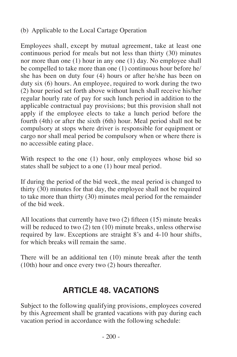#### (b) Applicable to the Local Cartage Operation

Employees shall, except by mutual agreement, take at least one continuous period for meals but not less than thirty (30) minutes nor more than one (1) hour in any one (1) day. No employee shall be compelled to take more than one (1) continuous hour before he/ she has been on duty four (4) hours or after he/she has been on duty six (6) hours. An employee, required to work during the two (2) hour period set forth above without lunch shall receive his/her regular hourly rate of pay for such lunch period in addition to the applicable contractual pay provisions; but this provision shall not apply if the employee elects to take a lunch period before the fourth (4th) or after the sixth (6th) hour. Meal period shall not be compulsory at stops where driver is responsible for equipment or cargo nor shall meal period be compulsory when or where there is no accessible eating place.

With respect to the one (1) hour, only employees whose bid so states shall be subject to a one (1) hour meal period.

If during the period of the bid week, the meal period is changed to thirty (30) minutes for that day, the employee shall not be required to take more than thirty (30) minutes meal period for the remainder of the bid week.

All locations that currently have two (2) fifteen (15) minute breaks will be reduced to two  $(2)$  ten  $(10)$  minute breaks, unless otherwise required by law. Exceptions are straight 8's and 4-10 hour shifts, for which breaks will remain the same.

There will be an additional ten (10) minute break after the tenth (10th) hour and once every two (2) hours thereafter.

### **ARTICLE 48. VACATIONS**

Subject to the following qualifying provisions, employees covered by this Agreement shall be granted vacations with pay during each vacation period in accordance with the following schedule: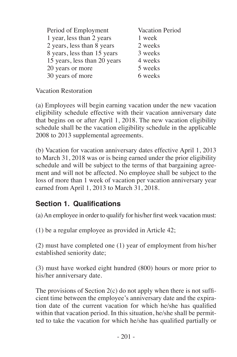| Period of Employment         | Vacation Period |
|------------------------------|-----------------|
| 1 year, less than 2 years    | 1 week          |
| 2 years, less than 8 years   | 2 weeks         |
| 8 years, less than 15 years  | 3 weeks         |
| 15 years, less than 20 years | 4 weeks         |
| 20 years or more             | 5 weeks         |
| 30 years of more             | 6 weeks         |

Vacation Restoration

(a) Employees will begin earning vacation under the new vacation eligibility schedule effective with their vacation anniversary date that begins on or after April 1, 2018. The new vacation eligibility schedule shall be the vacation eligibility schedule in the applicable 2008 to 2013 supplemental agreements.

(b) Vacation for vacation anniversary dates effective April 1, 2013 to March 31, 2018 was or is being earned under the prior eligibility schedule and will be subject to the terms of that bargaining agreement and will not be affected. No employee shall be subject to the loss of more than 1 week of vacation per vacation anniversary year earned from April 1, 2013 to March 31, 2018.

#### **Section 1. Qualifications**

(a)An employee in order to qualify for his/her first week vacation must:

(1) be a regular employee as provided in Article 42;

(2) must have completed one (1) year of employment from his/her established seniority date;

(3) must have worked eight hundred (800) hours or more prior to his/her anniversary date.

The provisions of Section  $2(c)$  do not apply when there is not sufficient time between the employee's anniversary date and the expiration date of the current vacation for which he/she has qualified within that vacation period. In this situation, he/she shall be permitted to take the vacation for which he/she has qualified partially or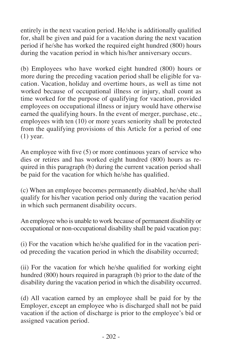entirely in the next vacation period. He/she is additionally qualified for, shall be given and paid for a vacation during the next vacation period if he/she has worked the required eight hundred (800) hours during the vacation period in which his/her anniversary occurs.

(b) Employees who have worked eight hundred (800) hours or more during the preceding vacation period shall be eligible for vacation. Vacation, holiday and overtime hours, as well as time not worked because of occupational illness or injury, shall count as time worked for the purpose of qualifying for vacation, provided employees on occupational illness or injury would have otherwise earned the qualifying hours. In the event of merger, purchase, etc., employees with ten (10) or more years seniority shall be protected from the qualifying provisions of this Article for a period of one (1) year.

An employee with five (5) or more continuous years of service who dies or retires and has worked eight hundred (800) hours as required in this paragraph (b) during the current vacation period shall be paid for the vacation for which he/she has qualified.

(c) When an employee becomes permanently disabled, he/she shall qualify for his/her vacation period only during the vacation period in which such permanent disability occurs.

An employee who is unable to work because of permanent disability or occupational or non-occupational disability shall be paid vacation pay:

(i) For the vacation which he/she qualified for in the vacation period preceding the vacation period in which the disability occurred;

(ii) For the vacation for which he/she qualified for working eight hundred (800) hours required in paragraph (b) prior to the date of the disability during the vacation period in which the disability occurred.

(d) All vacation earned by an employee shall be paid for by the Employer, except an employee who is discharged shall not be paid vacation if the action of discharge is prior to the employee's bid or assigned vacation period.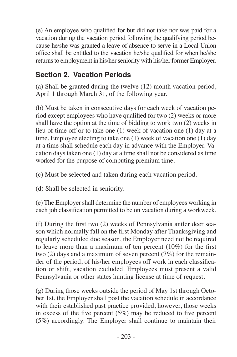(e) An employee who qualified for but did not take nor was paid for a vacation during the vacation period following the qualifying period because he/she was granted a leave of absence to serve in a Local Union office shall be entitled to the vacation he/she qualified for when he/she returns to employment in his/her seniority with his/her former Employer.

#### **Section 2. Vacation Periods**

(a) Shall be granted during the twelve (12) month vacation period, April 1 through March 31, of the following year.

(b) Must be taken in consecutive days for each week of vacation period except employees who have qualified for two (2) weeks or more shall have the option at the time of bidding to work two (2) weeks in lieu of time off or to take one (1) week of vacation one (1) day at a time. Employee electing to take one (1) week of vacation one (1) day at a time shall schedule each day in advance with the Employer. Vacation days taken one (1) day at a time shall not be considered as time worked for the purpose of computing premium time.

(c) Must be selected and taken during each vacation period.

(d) Shall be selected in seniority.

(e) The Employer shall determine the number of employees working in each job classification permitted to be on vacation during a workweek.

(f) During the first two (2) weeks of Pennsylvania antler deer season which normally fall on the first Monday after Thanksgiving and regularly scheduled doe season, the Employer need not be required to leave more than a maximum of ten percent (10%) for the first two (2) days and a maximum of seven percent (7%) for the remainder of the period, of his/her employees off work in each classification or shift, vacation excluded. Employees must present a valid Pennsylvania or other states hunting license at time of request.

(g) During those weeks outside the period of May 1st through October 1st, the Employer shall post the vacation schedule in accordance with their established past practice provided, however, those weeks in excess of the five percent (5%) may be reduced to five percent (5%) accordingly. The Employer shall continue to maintain their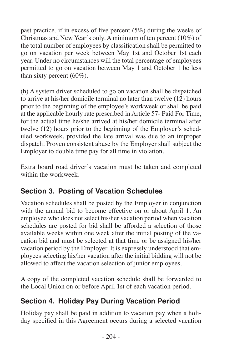past practice, if in excess of five percent (5%) during the weeks of Christmas and New Year's only. A minimum of ten percent (10%) of the total number of employees by classification shall be permitted to go on vacation per week between May 1st and October 1st each year. Under no circumstances will the total percentage of employees permitted to go on vacation between May 1 and October 1 be less than sixty percent (60%).

(h) A system driver scheduled to go on vacation shall be dispatched to arrive at his/her domicile terminal no later than twelve (12) hours prior to the beginning of the employee's workweek or shall be paid at the applicable hourly rate prescribed in Article 57- Paid For Time, for the actual time he/she arrived at his/her domicile terminal after twelve (12) hours prior to the beginning of the Employer's scheduled workweek, provided the late arrival was due to an improper dispatch. Proven consistent abuse by the Employer shall subject the Employer to double time pay for all time in violation.

Extra board road driver's vacation must be taken and completed within the workweek.

#### **Section 3. Posting of Vacation Schedules**

Vacation schedules shall be posted by the Employer in conjunction with the annual bid to become effective on or about April 1. An employee who does not select his/her vacation period when vacation schedules are posted for bid shall be afforded a selection of those available weeks within one week after the initial posting of the vacation bid and must be selected at that time or be assigned his/her vacation period by the Employer. It is expressly understood that employees selecting his/her vacation after the initial bidding will not be allowed to affect the vacation selection of junior employees.

A copy of the completed vacation schedule shall be forwarded to the Local Union on or before April 1st of each vacation period.

#### **Section 4. Holiday Pay During Vacation Period**

Holiday pay shall be paid in addition to vacation pay when a holiday specified in this Agreement occurs during a selected vacation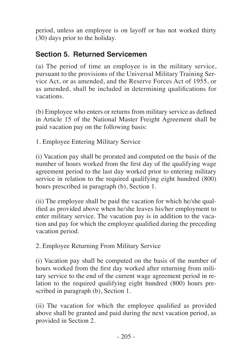period, unless an employee is on layoff or has not worked thirty (30) days prior to the holiday.

#### **Section 5. Returned Servicemen**

(a) The period of time an employee is in the military service, pursuant to the provisions of the Universal Military Training Service Act, or as amended, and the Reserve Forces Act of 1955, or as amended, shall be included in determining qualifications for vacations.

(b) Employee who enters or returns from military service as defined in Article 15 of the National Master Freight Agreement shall be paid vacation pay on the following basis:

1. Employee Entering Military Service

(i) Vacation pay shall be prorated and computed on the basis of the number of hours worked from the first day of the qualifying wage agreement period to the last day worked prior to entering military service in relation to the required qualifying eight hundred (800) hours prescribed in paragraph (b), Section 1.

(ii) The employee shall be paid the vacation for which he/she qualified as provided above when he/she leaves his/her employment to enter military service. The vacation pay is in addition to the vacation and pay for which the employee qualified during the preceding vacation period.

2. Employee Returning From Military Service

(i) Vacation pay shall be computed on the basis of the number of hours worked from the first day worked after returning from military service to the end of the current wage agreement period in relation to the required qualifying eight hundred (800) hours prescribed in paragraph (b), Section 1.

(ii) The vacation for which the employee qualified as provided above shall be granted and paid during the next vacation period, as provided in Section 2.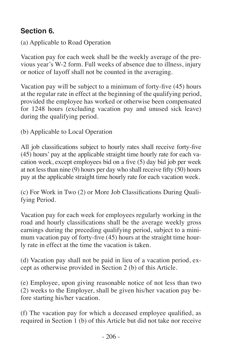#### **Section 6.**

(a) Applicable to Road Operation

Vacation pay for each week shall be the weekly average of the previous year's W-2 form. Full weeks of absence due to illness, injury or notice of layoff shall not be counted in the averaging.

Vacation pay will be subject to a minimum of forty-five (45) hours at the regular rate in effect at the beginning of the qualifying period, provided the employee has worked or otherwise been compensated for 1248 hours (excluding vacation pay and unused sick leave) during the qualifying period.

(b) Applicable to Local Operation

All job classifications subject to hourly rates shall receive forty-five (45) hours' pay at the applicable straight time hourly rate for each vacation week, except employees bid on a five (5) day bid job per week at not less than nine (9) hours per day who shall receive fifty  $(50)$  hours pay at the applicable straight time hourly rate for each vacation week.

(c) For Work in Two (2) or More Job Classifications During Qualifying Period.

Vacation pay for each week for employees regularly working in the road and hourly classifications shall be the average weekly gross earnings during the preceding qualifying period, subject to a minimum vacation pay of forty-five (45) hours at the straight time hourly rate in effect at the time the vacation is taken.

(d) Vacation pay shall not be paid in lieu of a vacation period, except as otherwise provided in Section 2 (b) of this Article.

(e) Employee, upon giving reasonable notice of not less than two (2) weeks to the Employer, shall be given his/her vacation pay before starting his/her vacation.

(f) The vacation pay for which a deceased employee qualified, as required in Section 1 (b) of this Article but did not take nor receive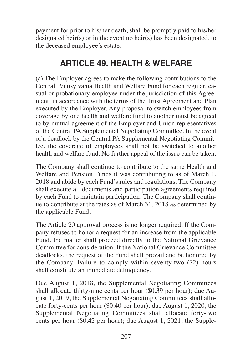payment for prior to his/her death, shall be promptly paid to his/her designated heir(s) or in the event no heir(s) has been designated, to the deceased employee's estate.

# **ARTICLE 49. HEALTH & WELFARE**

(a) The Employer agrees to make the following contributions to the Central Pennsylvania Health and Welfare Fund for each regular, casual or probationary employee under the jurisdiction of this Agreement, in accordance with the terms of the Trust Agreement and Plan executed by the Employer. Any proposal to switch employees from coverage by one health and welfare fund to another must be agreed to by mutual agreement of the Employer and Union representatives of the Central PA Supplemental Negotiating Committee. In the event of a deadlock by the Central PA Supplemental Negotiating Committee, the coverage of employees shall not be switched to another health and welfare fund. No further appeal of the issue can be taken.

The Company shall continue to contribute to the same Health and Welfare and Pension Funds it was contributing to as of March 1, 2018 and abide by each Fund's rules and regulations. The Company shall execute all documents and participation agreements required by each Fund to maintain participation. The Company shall continue to contribute at the rates as of March 31, 2018 as determined by the applicable Fund.

The Article 20 approval process is no longer required. If the Company refuses to honor a request for an increase from the applicable Fund, the matter shall proceed directly to the National Grievance Committee for consideration. If the National Grievance Committee deadlocks, the request of the Fund shall prevail and be honored by the Company. Failure to comply within seventy-two (72) hours shall constitute an immediate delinquency.

Due August 1, 2018, the Supplemental Negotiating Committees shall allocate thirty-nine cents per hour (\$0.39 per hour); due August 1, 2019, the Supplemental Negotiating Committees shall allocate forty-cents per hour (\$0.40 per hour); due August 1, 2020, the Supplemental Negotiating Committees shall allocate forty-two cents per hour (\$0.42 per hour); due August 1, 2021, the Supple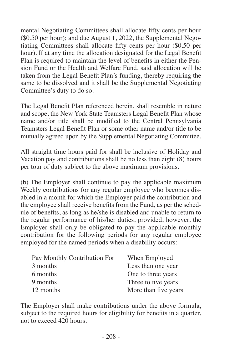mental Negotiating Committees shall allocate fifty cents per hour (\$0.50 per hour); and due August 1, 2022, the Supplemental Negotiating Committees shall allocate fifty cents per hour (\$0.50 per hour). If at any time the allocation designated for the Legal Benefit Plan is required to maintain the level of benefits in either the Pension Fund or the Health and Welfare Fund, said allocation will be taken from the Legal Benefit Plan's funding, thereby requiring the same to be dissolved and it shall be the Supplemental Negotiating Committee's duty to do so.

The Legal Benefit Plan referenced herein, shall resemble in nature and scope, the New York State Teamsters Legal Benefit Plan whose name and/or title shall be modified to the Central Pennsylvania Teamsters Legal Benefit Plan or some other name and/or title to be mutually agreed upon by the Supplemental Negotiating Committee.

All straight time hours paid for shall be inclusive of Holiday and Vacation pay and contributions shall be no less than eight (8) hours per tour of duty subject to the above maximum provisions.

(b) The Employer shall continue to pay the applicable maximum Weekly contributions for any regular employee who becomes disabled in a month for which the Employer paid the contribution and the employee shall receive benefits from the Fund, as per the schedule of benefits, as long as he/she is disabled and unable to return to the regular performance of his/her duties, provided, however, the Employer shall only be obligated to pay the applicable monthly contribution for the following periods for any regular employee employed for the named periods when a disability occurs:

| Pay Monthly Contribution For | When Employed        |
|------------------------------|----------------------|
| 3 months                     | Less than one year   |
| 6 months                     | One to three years   |
| 9 months                     | Three to five years  |
| 12 months                    | More than five years |

The Employer shall make contributions under the above formula, subject to the required hours for eligibility for benefits in a quarter, not to exceed 420 hours.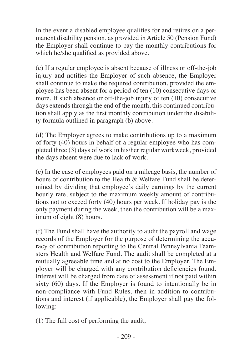In the event a disabled employee qualifies for and retires on a permanent disability pension, as provided in Article 50 (Pension Fund) the Employer shall continue to pay the monthly contributions for which he/she qualified as provided above.

(c) If a regular employee is absent because of illness or off-the-job injury and notifies the Employer of such absence, the Employer shall continue to make the required contribution, provided the employee has been absent for a period of ten (10) consecutive days or more. If such absence or off-the-job injury of ten (10) consecutive days extends through the end of the month, this continued contribution shall apply as the first monthly contribution under the disability formula outlined in paragraph (b) above.

(d) The Employer agrees to make contributions up to a maximum of forty (40) hours in behalf of a regular employee who has completed three (3) days of work in his/her regular workweek, provided the days absent were due to lack of work.

(e) In the case of employees paid on a mileage basis, the number of hours of contribution to the Health & Welfare Fund shall be determined by dividing that employee's daily earnings by the current hourly rate, subject to the maximum weekly amount of contributions not to exceed forty (40) hours per week. If holiday pay is the only payment during the week, then the contribution will be a maximum of eight (8) hours.

(f) The Fund shall have the authority to audit the payroll and wage records of the Employer for the purpose of determining the accuracy of contribution reporting to the Central Pennsylvania Teamsters Health and Welfare Fund. The audit shall be completed at a mutually agreeable time and at no cost to the Employer. The Employer will be charged with any contribution deficiencies found. Interest will be charged from date of assessment if not paid within sixty (60) days. If the Employer is found to intentionally be in non-compliance with Fund Rules, then in addition to contributions and interest (if applicable), the Employer shall pay the following:

(1) The full cost of performing the audit;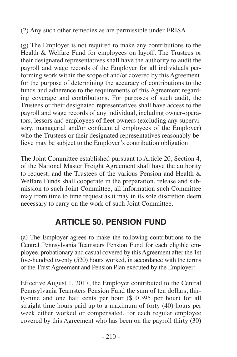(2) Any such other remedies as are permissible under ERISA.

(g) The Employer is not required to make any contributions to the Health & Welfare Fund for employees on layoff. The Trustees or their designated representatives shall have the authority to audit the payroll and wage records of the Employer for all individuals performing work within the scope of and/or covered by this Agreement, for the purpose of determining the accuracy of contributions to the funds and adherence to the requirements of this Agreement regarding coverage and contributions. For purposes of such audit, the Trustees or their designated representatives shall have access to the payroll and wage records of any individual, including owner-operators, lessors and employees of fleet owners (excluding any supervisory, managerial and/or confidential employees of the Employer) who the Trustees or their designated representatives reasonably believe may be subject to the Employer's contribution obligation.

The Joint Committee established pursuant to Article 20, Section 4, of the National Master Freight Agreement shall have the authority to request, and the Trustees of the various Pension and Health & Welfare Funds shall cooperate in the preparation, release and submission to such Joint Committee, all information such Committee may from time to time request as it may in its sole discretion deem necessary to carry on the work of such Joint Committee.

# **ARTICLE 50. PENSION FUND**

(a) The Employer agrees to make the following contributions to the Central Pennsylvania Teamsters Pension Fund for each eligible employee, probationary and casual covered by this Agreement after the 1st five-hundred twenty (520) hours worked, in accordance with the terms of the Trust Agreement and Pension Plan executed by the Employer:

Effective August 1, 2017, the Employer contributed to the Central Pennsylvania Teamsters Pension Fund the sum of ten dollars, thirty-nine and one half cents per hour (\$10.395 per hour) for all straight time hours paid up to a maximum of forty (40) hours per week either worked or compensated, for each regular employee covered by this Agreement who has been on the payroll thirty (30)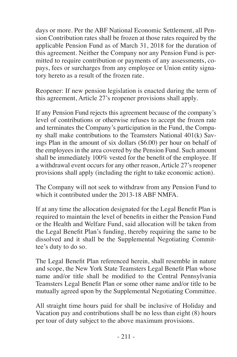days or more. Per the ABF National Economic Settlement, all Pension Contribution rates shall be frozen at those rates required by the applicable Pension Fund as of March 31, 2018 for the duration of this agreement. Neither the Company nor any Pension Fund is permitted to require contribution or payments of any assessments, copays, fees or surcharges from any employee or Union entity signatory hereto as a result of the frozen rate.

Reopener: If new pension legislation is enacted during the term of this agreement, Article 27's reopener provisions shall apply.

If any Pension Fund rejects this agreement because of the company's level of contributions or otherwise refuses to accept the frozen rate and terminates the Company's participation in the Fund, the Company shall make contributions to the Teamsters National 401(k) Savings Plan in the amount of six dollars (\$6.00) per hour on behalf of the employees in the area covered by the Pension Fund. Such amount shall be immediately 100% vested for the benefit of the employee. If a withdrawal event occurs for any other reason, Article 27's reopener provisions shall apply (including the right to take economic action).

The Company will not seek to withdraw from any Pension Fund to which it contributed under the 2013-18 ABF NMFA.

If at any time the allocation designated for the Legal Benefit Plan is required to maintain the level of benefits in either the Pension Fund or the Health and Welfare Fund, said allocation will be taken from the Legal Benefit Plan's funding, thereby requiring the same to be dissolved and it shall be the Supplemental Negotiating Committee's duty to do so.

The Legal Benefit Plan referenced herein, shall resemble in nature and scope, the New York State Teamsters Legal Benefit Plan whose name and/or title shall be modified to the Central Pennsylvania Teamsters Legal Benefit Plan or some other name and/or title to be mutually agreed upon by the Supplemental Negotiating Committee.

All straight time hours paid for shall be inclusive of Holiday and Vacation pay and contributions shall be no less than eight (8) hours per tour of duty subject to the above maximum provisions.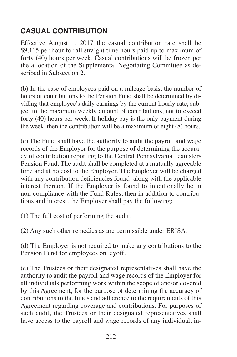# **CASUAL CONTRIBUTION**

Effective August 1, 2017 the casual contribution rate shall be \$9.115 per hour for all straight time hours paid up to maximum of forty (40) hours per week. Casual contributions will be frozen per the allocation of the Supplemental Negotiating Committee as described in Subsection 2.

(b) In the case of employees paid on a mileage basis, the number of hours of contributions to the Pension Fund shall be determined by dividing that employee's daily earnings by the current hourly rate, subject to the maximum weekly amount of contributions, not to exceed forty (40) hours per week. If holiday pay is the only payment during the week, then the contribution will be a maximum of eight (8) hours.

(c) The Fund shall have the authority to audit the payroll and wage records of the Employer for the purpose of determining the accuracy of contribution reporting to the Central Pennsylvania Teamsters Pension Fund. The audit shall be completed at a mutually agreeable time and at no cost to the Employer. The Employer will be charged with any contribution deficiencies found, along with the applicable interest thereon. If the Employer is found to intentionally be in non-compliance with the Fund Rules, then in addition to contributions and interest, the Employer shall pay the following:

(1) The full cost of performing the audit;

(2) Any such other remedies as are permissible under ERISA.

(d) The Employer is not required to make any contributions to the Pension Fund for employees on layoff.

(e) The Trustees or their designated representatives shall have the authority to audit the payroll and wage records of the Employer for all individuals performing work within the scope of and/or covered by this Agreement, for the purpose of determining the accuracy of contributions to the funds and adherence to the requirements of this Agreement regarding coverage and contributions. For purposes of such audit, the Trustees or their designated representatives shall have access to the payroll and wage records of any individual, in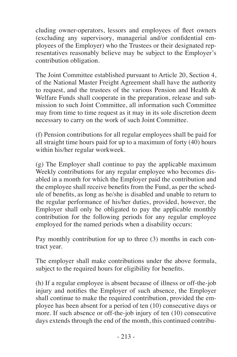cluding owner-operators, lessors and employees of fleet owners (excluding any supervisory, managerial and/or confidential employees of the Employer) who the Trustees or their designated representatives reasonably believe may be subject to the Employer's contribution obligation.

The Joint Committee established pursuant to Article 20, Section 4, of the National Master Freight Agreement shall have the authority to request, and the trustees of the various Pension and Health & Welfare Funds shall cooperate in the preparation, release and submission to such Joint Committee, all information such Committee may from time to time request as it may in its sole discretion deem necessary to carry on the work of such Joint Committee.

(f) Pension contributions for all regular employees shall be paid for all straight time hours paid for up to a maximum of forty (40) hours within his/her regular workweek.

(g) The Employer shall continue to pay the applicable maximum Weekly contributions for any regular employee who becomes disabled in a month for which the Employer paid the contribution and the employee shall receive benefits from the Fund, as per the schedule of benefits, as long as he/she is disabled and unable to return to the regular performance of his/her duties, provided, however, the Employer shall only be obligated to pay the applicable monthly contribution for the following periods for any regular employee employed for the named periods when a disability occurs:

Pay monthly contribution for up to three (3) months in each contract year.

The employer shall make contributions under the above formula, subject to the required hours for eligibility for benefits.

(h) If a regular employee is absent because of illness or off-the-job injury and notifies the Employer of such absence, the Employer shall continue to make the required contribution, provided the employee has been absent for a period of ten (10) consecutive days or more. If such absence or off-the-job injury of ten (10) consecutive days extends through the end of the month, this continued contribu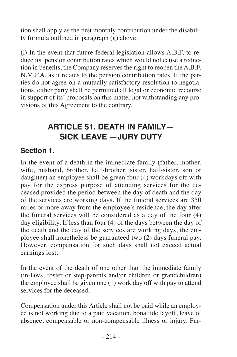tion shall apply as the first monthly contribution under the disability formula outlined in paragraph (g) above.

(i) In the event that future federal legislation allows A.B.F. to reduce its' pension contribution rates which would not cause a reduction in benefits, the Company reserves the right to reopen the A.B.F. N.M.F.A. as it relates to the pension contribution rates. If the parties do not agree on a mutually satisfactory resolution to negotiations, either party shall be permitted all legal or economic recourse in support of its' proposals on this matter not withstanding any provisions of this Agreement to the contrary.

# **ARTICLE 51. DEATH IN FAMILY— SICK LEAVE —JURY DUTY**

#### **Section 1.**

In the event of a death in the immediate family (father, mother, wife, husband, brother, half-brother, sister, half-sister, son or daughter) an employee shall be given four (4) workdays off with pay for the express purpose of attending services for the deceased provided the period between the day of death and the day of the services are working days. If the funeral services are 350 miles or more away from the employee's residence, the day after the funeral services will be considered as a day of the four (4) day eligibility. If less than four (4) of the days between the day of the death and the day of the services are working days, the employee shall nonetheless be guaranteed two (2) days funeral pay. However, compensation for such days shall not exceed actual earnings lost.

In the event of the death of one other than the immediate family (in-laws, foster or step-parents and/or children or grandchildren) the employee shall be given one (1) work day off with pay to attend services for the deceased.

Compensation under this Article shall not be paid while an employee is not working due to a paid vacation, bona fide layoff, leave of absence, compensable or non-compensable illness or injury. Fur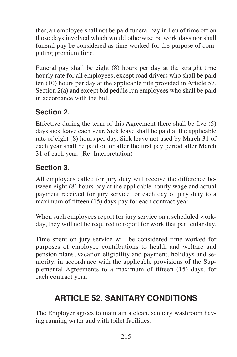ther, an employee shall not be paid funeral pay in lieu of time off on those days involved which would otherwise be work days nor shall funeral pay be considered as time worked for the purpose of computing premium time.

Funeral pay shall be eight (8) hours per day at the straight time hourly rate for all employees, except road drivers who shall be paid ten (10) hours per day at the applicable rate provided in Article 57, Section 2(a) and except bid peddle run employees who shall be paid in accordance with the bid.

# **Section 2.**

Effective during the term of this Agreement there shall be five (5) days sick leave each year. Sick leave shall be paid at the applicable rate of eight (8) hours per day. Sick leave not used by March 31 of each year shall be paid on or after the first pay period after March 31 of each year. (Re: Interpretation)

#### **Section 3.**

All employees called for jury duty will receive the difference between eight (8) hours pay at the applicable hourly wage and actual payment received for jury service for each day of jury duty to a maximum of fifteen (15) days pay for each contract year.

When such employees report for jury service on a scheduled workday, they will not be required to report for work that particular day.

Time spent on jury service will be considered time worked for purposes of employee contributions to health and welfare and pension plans, vacation eligibility and payment, holidays and seniority, in accordance with the applicable provisions of the Supplemental Agreements to a maximum of fifteen (15) days, for each contract year.

# **ARTICLE 52. SANITARY CONDITIONS**

The Employer agrees to maintain a clean, sanitary washroom having running water and with toilet facilities.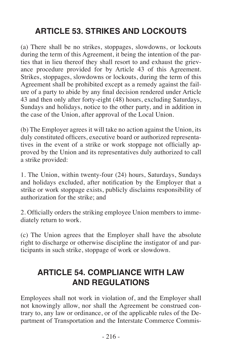# **ARTICLE 53. STRIKES AND LOCKOUTS**

(a) There shall be no strikes, stoppages, slowdowns, or lockouts during the term of this Agreement, it being the intention of the parties that in lieu thereof they shall resort to and exhaust the grievance procedure provided for by Article 43 of this Agreement. Strikes, stoppages, slowdowns or lockouts, during the term of this Agreement shall be prohibited except as a remedy against the failure of a party to abide by any final decision rendered under Article 43 and then only after forty-eight (48) hours, excluding Saturdays, Sundays and holidays, notice to the other party, and in addition in the case of the Union, after approval of the Local Union.

(b) The Employer agrees it will take no action against the Union, its duly constituted officers, executive board or authorized representatives in the event of a strike or work stoppage not officially approved by the Union and its representatives duly authorized to call a strike provided:

1. The Union, within twenty-four (24) hours, Saturdays, Sundays and holidays excluded, after notification by the Employer that a strike or work stoppage exists, publicly disclaims responsibility of authorization for the strike; and

2. Officially orders the striking employee Union members to immediately return to work.

(c) The Union agrees that the Employer shall have the absolute right to discharge or otherwise discipline the instigator of and participants in such strike, stoppage of work or slowdown.

# **ARTICLE 54. COMPLIANCE WITH LAW AND REGULATIONS**

Employees shall not work in violation of, and the Employer shall not knowingly allow, nor shall the Agreement be construed contrary to, any law or ordinance, or of the applicable rules of the Department of Transportation and the Interstate Commerce Commis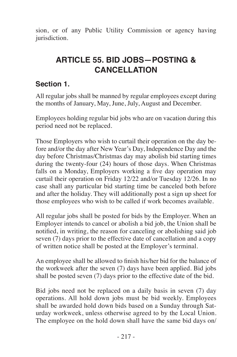sion, or of any Public Utility Commission or agency having jurisdiction.

# **ARTICLE 55. BID JOBS—POSTING & CANCELLATION**

### **Section 1.**

All regular jobs shall be manned by regular employees except during the months of January, May, June, July, August and December.

Employees holding regular bid jobs who are on vacation during this period need not be replaced.

Those Employers who wish to curtail their operation on the day before and/or the day after New Year's Day, Independence Day and the day before Christmas/Christmas day may abolish bid starting times during the twenty-four (24) hours of those days. When Christmas falls on a Monday, Employers working a five day operation may curtail their operation on Friday 12/22 and/or Tuesday 12/26. In no case shall any particular bid starting time be canceled both before and after the holiday. They will additionally post a sign up sheet for those employees who wish to be called if work becomes available.

All regular jobs shall be posted for bids by the Employer. When an Employer intends to cancel or abolish a bid job, the Union shall be notified, in writing, the reason for canceling or abolishing said job seven (7) days prior to the effective date of cancellation and a copy of written notice shall be posted at the Employer's terminal.

An employee shall be allowed to finish his/her bid for the balance of the workweek after the seven (7) days have been applied. Bid jobs shall be posted seven (7) days prior to the effective date of the bid.

Bid jobs need not be replaced on a daily basis in seven (7) day operations. All hold down jobs must be bid weekly. Employees shall be awarded hold down bids based on a Sunday through Saturday workweek, unless otherwise agreed to by the Local Union. The employee on the hold down shall have the same bid days on/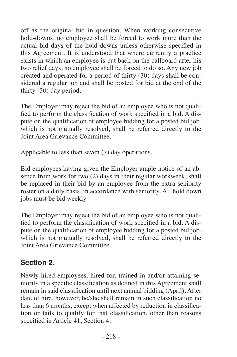off as the original bid in question. When working consecutive hold-downs, no employee shall be forced to work more than the actual bid days of the hold-downs unless otherwise specified in this Agreement. It is understood that where currently a practice exists in which an employee is put back on the callboard after his two relief days, no employee shall be forced to do so. Any new job created and operated for a period of thirty (30) days shall be considered a regular job and shall be posted for bid at the end of the thirty (30) day period.

The Employer may reject the bid of an employee who is not qualified to perform the classification of work specified in a bid. A dispute on the qualification of employee bidding for a posted bid job, which is not mutually resolved, shall be referred directly to the Joint Area Grievance Committee.

Applicable to less than seven (7) day operations.

Bid employees having given the Employer ample notice of an absence from work for two (2) days in their regular workweek, shall be replaced in their bid by an employee from the extra seniority roster on a daily basis, in accordance with seniority. All hold down jobs must be bid weekly.

The Employer may reject the bid of an employee who is not qualified to perform the classification of work specified in a bid. A dispute on the qualification of employee bidding for a posted bid job, which is not mutually resolved, shall be referred directly to the Joint Area Grievance Committee.

### **Section 2.**

Newly hired employees, hired for, trained in and/or attaining seniority in a specific classification as defined in this Agreement shall remain in said classification until next annual bidding (April). After date of hire, however, he/she shall remain in such classification no less than 6 months, except when affected by reduction in classification or fails to qualify for that classification, other than reasons specified in Article 41, Section 4.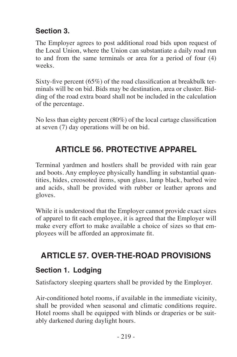### **Section 3.**

The Employer agrees to post additional road bids upon request of the Local Union, where the Union can substantiate a daily road run to and from the same terminals or area for a period of four (4) weeks.

Sixty-five percent (65%) of the road classification at breakbulk terminals will be on bid. Bids may be destination, area or cluster. Bidding of the road extra board shall not be included in the calculation of the percentage.

No less than eighty percent (80%) of the local cartage classification at seven (7) day operations will be on bid.

# **ARTICLE 56. PROTECTIVE APPAREL**

Terminal yardmen and hostlers shall be provided with rain gear and boots. Any employee physically handling in substantial quantities, hides, creosoted items, spun glass, lamp black, barbed wire and acids, shall be provided with rubber or leather aprons and gloves.

While it is understood that the Employer cannot provide exact sizes of apparel to fit each employee, it is agreed that the Employer will make every effort to make available a choice of sizes so that employees will be afforded an approximate fit.

# **ARTICLE 57. OVER-THE-ROAD PROVISIONS**

### **Section 1. Lodging**

Satisfactory sleeping quarters shall be provided by the Employer.

Air-conditioned hotel rooms, if available in the immediate vicinity, shall be provided when seasonal and climatic conditions require. Hotel rooms shall be equipped with blinds or draperies or be suitably darkened during daylight hours.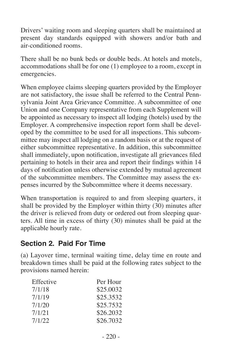Drivers' waiting room and sleeping quarters shall be maintained at present day standards equipped with showers and/or bath and air-conditioned rooms.

There shall be no bunk beds or double beds. At hotels and motels, accommodations shall be for one (1) employee to a room, except in emergencies.

When employee claims sleeping quarters provided by the Employer are not satisfactory, the issue shall be referred to the Central Pennsylvania Joint Area Grievance Committee. A subcommittee of one Union and one Company representative from each Supplement will be appointed as necessary to inspect all lodging (hotels) used by the Employer. A comprehensive inspection report form shall be developed by the committee to be used for all inspections. This subcommittee may inspect all lodging on a random basis or at the request of either subcommittee representative. In addition, this subcommittee shall immediately, upon notification, investigate all grievances filed pertaining to hotels in their area and report their findings within 14 days of notification unless otherwise extended by mutual agreement of the subcommittee members. The Committee may assess the expenses incurred by the Subcommittee where it deems necessary.

When transportation is required to and from sleeping quarters, it shall be provided by the Employer within thirty  $(30)$  minutes after the driver is relieved from duty or ordered out from sleeping quarters. All time in excess of thirty (30) minutes shall be paid at the applicable hourly rate.

#### **Section 2. Paid For Time**

(a) Layover time, terminal waiting time, delay time en route and breakdown times shall be paid at the following rates subject to the provisions named herein:

| Effective | Per Hour  |
|-----------|-----------|
| 7/1/18    | \$25.0032 |
| 7/1/19    | \$25.3532 |
| 7/1/20    | \$25.7532 |
| 7/1/21    | \$26,2032 |
| 7/1/22    | \$26,7032 |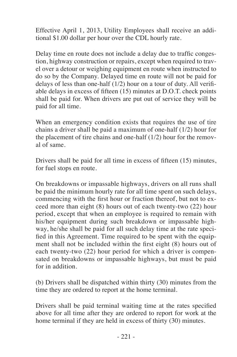Effective April 1, 2013, Utility Employees shall receive an additional \$1.00 dollar per hour over the CDL hourly rate.

Delay time en route does not include a delay due to traffic congestion, highway construction or repairs, except when required to travel over a detour or weighing equipment en route when instructed to do so by the Company. Delayed time en route will not be paid for delays of less than one-half (1/2) hour on a tour of duty. All verifiable delays in excess of fifteen (15) minutes at D.O.T. check points shall be paid for. When drivers are put out of service they will be paid for all time.

When an emergency condition exists that requires the use of tire chains a driver shall be paid a maximum of one-half (1/2) hour for the placement of tire chains and one-half (1/2) hour for the removal of same.

Drivers shall be paid for all time in excess of fifteen (15) minutes, for fuel stops en route.

On breakdowns or impassable highways, drivers on all runs shall be paid the minimum hourly rate for all time spent on such delays, commencing with the first hour or fraction thereof, but not to exceed more than eight (8) hours out of each twenty-two (22) hour period, except that when an employee is required to remain with his/her equipment during such breakdown or impassable highway, he/she shall be paid for all such delay time at the rate specified in this Agreement. Time required to be spent with the equipment shall not be included within the first eight (8) hours out of each twenty-two (22) hour period for which a driver is compensated on breakdowns or impassable highways, but must be paid for in addition.

(b) Drivers shall be dispatched within thirty (30) minutes from the time they are ordered to report at the home terminal.

Drivers shall be paid terminal waiting time at the rates specified above for all time after they are ordered to report for work at the home terminal if they are held in excess of thirty (30) minutes.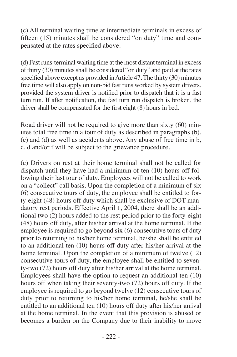(c) All terminal waiting time at intermediate terminals in excess of fifteen (15) minutes shall be considered "on duty" time and compensated at the rates specified above.

(d) Fast runs-terminal waiting time at the most distant terminal in excess of thirty (30) minutes shall be considered "on duty" and paid at the rates specified above except as provided inArticle 47.The thirty (30) minutes free time will also apply on non-bid fast runs worked by system drivers, provided the system driver is notified prior to dispatch that it is a fast turn run. If after notification, the fast turn run dispatch is broken, the driver shall be compensated for the first eight (8) hours in bed.

Road driver will not be required to give more than sixty (60) minutes total free time in a tour of duty as described in paragraphs (b), (c) and (d) as well as accidents above. Any abuse of free time in b, c, d and/or f will be subject to the grievance procedure.

(e) Drivers on rest at their home terminal shall not be called for dispatch until they have had a minimum of ten (10) hours off following their last tour of duty. Employees will not be called to work on a "collect" call basis. Upon the completion of a minimum of six (6) consecutive tours of duty, the employee shall be entitled to forty-eight (48) hours off duty which shall be exclusive of DOT mandatory rest periods. Effective April 1, 2004, there shall be an additional two  $(2)$  hours added to the rest period prior to the forty-eight (48) hours off duty, after his/her arrival at the home terminal. If the employee is required to go beyond six (6) consecutive tours of duty prior to returning to his/her home terminal, he/she shall be entitled to an additional ten (10) hours off duty after his/her arrival at the home terminal. Upon the completion of a minimum of twelve (12) consecutive tours of duty, the employee shall be entitled to seventy-two (72) hours off duty after his/her arrival at the home terminal. Employees shall have the option to request an additional ten (10) hours off when taking their seventy-two (72) hours off duty. If the employee is required to go beyond twelve (12) consecutive tours of duty prior to returning to his/her home terminal, he/she shall be entitled to an additional ten (10) hours off duty after his/her arrival at the home terminal. In the event that this provision is abused or becomes a burden on the Company due to their inability to move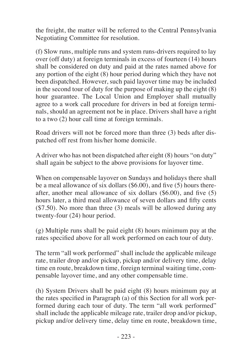the freight, the matter will be referred to the Central Pennsylvania Negotiating Committee for resolution.

(f) Slow runs, multiple runs and system runs-drivers required to lay over (off duty) at foreign terminals in excess of fourteen (14) hours shall be considered on duty and paid at the rates named above for any portion of the eight (8) hour period during which they have not been dispatched. However, such paid layover time may be included in the second tour of duty for the purpose of making up the eight (8) hour guarantee. The Local Union and Employer shall mutually agree to a work call procedure for drivers in bed at foreign terminals, should an agreement not be in place. Drivers shall have a right to a two (2) hour call time at foreign terminals.

Road drivers will not be forced more than three (3) beds after dispatched off rest from his/her home domicile.

A driver who has not been dispatched after eight (8) hours "on duty" shall again be subject to the above provisions for layover time.

When on compensable layover on Sundays and holidays there shall be a meal allowance of six dollars (\$6.00), and five (5) hours thereafter, another meal allowance of six dollars (\$6.00), and five (5) hours later, a third meal allowance of seven dollars and fifty cents (\$7.50). No more than three (3) meals will be allowed during any twenty-four (24) hour period.

(g) Multiple runs shall be paid eight (8) hours minimum pay at the rates specified above for all work performed on each tour of duty.

The term "all work performed" shall include the applicable mileage rate, trailer drop and/or pickup, pickup and/or delivery time, delay time en route, breakdown time, foreign terminal waiting time, compensable layover time, and any other compensable time.

(h) System Drivers shall be paid eight (8) hours minimum pay at the rates specified in Paragraph (a) of this Section for all work performed during each tour of duty. The term "all work performed" shall include the applicable mileage rate, trailer drop and/or pickup, pickup and/or delivery time, delay time en route, breakdown time,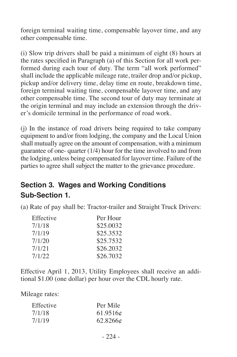foreign terminal waiting time, compensable layover time, and any other compensable time.

(i) Slow trip drivers shall be paid a minimum of eight (8) hours at the rates specified in Paragraph (a) of this Section for all work performed during each tour of duty. The term "all work performed" shall include the applicable mileage rate, trailer drop and/or pickup, pickup and/or delivery time, delay time en route, breakdown time, foreign terminal waiting time, compensable layover time, and any other compensable time. The second tour of duty may terminate at the origin terminal and may include an extension through the driver's domicile terminal in the performance of road work.

(j) In the instance of road drivers being required to take company equipment to and/or from lodging, the company and the Local Union shall mutually agree on the amount of compensation, with a minimum guarantee of one- quarter (1/4) hour for the time involved to and from the lodging, unless being compensated for layover time. Failure of the parties to agree shall subject the matter to the grievance procedure.

# **Section 3. Wages and Working Conditions Sub-Section 1.**

(a) Rate of pay shall be: Tractor-trailer and Straight Truck Drivers:

| Effective | Per Hour  |
|-----------|-----------|
| 7/1/18    | \$25,0032 |
| 7/1/19    | \$25.3532 |
| 7/1/20    | \$25,7532 |
| 7/1/21    | \$26,2032 |
| 7/1/22    | \$26,7032 |

Effective April 1, 2013, Utility Employees shall receive an additional \$1.00 (one dollar) per hour over the CDL hourly rate.

Mileage rates:

| Effective | Per Mile |
|-----------|----------|
| 7/1/18    | 61.9516c |
| 7/1/19    | 62.8266c |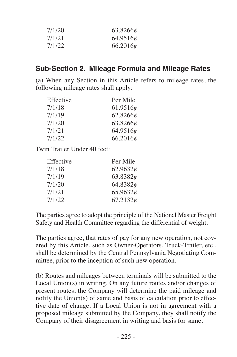| 7/1/20 | 63.8266c |
|--------|----------|
| 7/1/21 | 64.9516¢ |
| 7/1/22 | 66.2016c |

#### **Sub-Section 2. Mileage Formula and Mileage Rates**

(a) When any Section in this Article refers to mileage rates, the following mileage rates shall apply:

| Effective | Per Mile |
|-----------|----------|
| 7/1/18    | 61.9516c |
| 7/1/19    | 62.8266¢ |
| 7/1/20    | 63.8266¢ |
| 7/1/21    | 64.9516¢ |
| 7/1/22    | 66.2016¢ |

Twin Trailer Under 40 feet:

| Per Mile |
|----------|
| 62.9632c |
| 63.8382c |
| 64.8382¢ |
| 65.9632c |
| 67.2132c |
|          |

The parties agree to adopt the principle of the National Master Freight Safety and Health Committee regarding the differential of weight.

The parties agree, that rates of pay for any new operation, not covered by this Article, such as Owner-Operators, Truck-Trailer, etc., shall be determined by the Central Pennsylvania Negotiating Committee, prior to the inception of such new operation.

(b) Routes and mileages between terminals will be submitted to the Local Union(s) in writing. On any future routes and/or changes of present routes, the Company will determine the paid mileage and notify the Union(s) of same and basis of calculation prior to effective date of change. If a Local Union is not in agreement with a proposed mileage submitted by the Company, they shall notify the Company of their disagreement in writing and basis for same.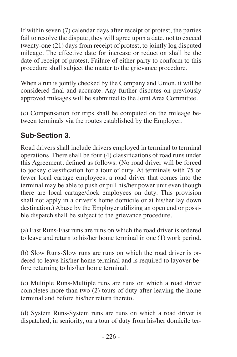If within seven (7) calendar days after receipt of protest, the parties fail to resolve the dispute, they will agree upon a date, not to exceed twenty-one (21) days from receipt of protest, to jointly log disputed mileage. The effective date for increase or reduction shall be the date of receipt of protest. Failure of either party to conform to this procedure shall subject the matter to the grievance procedure.

When a run is jointly checked by the Company and Union, it will be considered final and accurate. Any further disputes on previously approved mileages will be submitted to the Joint Area Committee.

(c) Compensation for trips shall be computed on the mileage between terminals via the routes established by the Employer.

### **Sub-Section 3***.*

Road drivers shall include drivers employed in terminal to terminal operations. There shall be four (4) classifications of road runs under this Agreement, defined as follows: (No road driver will be forced to jockey classification for a tour of duty. At terminals with 75 or fewer local cartage employees, a road driver that comes into the terminal may be able to push or pull his/her power unit even though there are local cartage/dock employees on duty. This provision shall not apply in a driver's home domicile or at his/her lay down destination.) Abuse by the Employer utilizing an open end or possible dispatch shall be subject to the grievance procedure.

(a) Fast Runs-Fast runs are runs on which the road driver is ordered to leave and return to his/her home terminal in one (1) work period.

(b) Slow Runs-Slow runs are runs on which the road driver is ordered to leave his/her home terminal and is required to layover before returning to his/her home terminal.

(c) Multiple Runs-Multiple runs are runs on which a road driver completes more than two (2) tours of duty after leaving the home terminal and before his/her return thereto.

(d) System Runs-System runs are runs on which a road driver is dispatched, in seniority, on a tour of duty from his/her domicile ter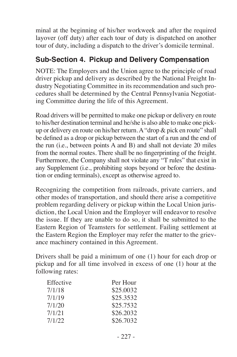minal at the beginning of his/her workweek and after the required layover (off duty) after each tour of duty is dispatched on another tour of duty, including a dispatch to the driver's domicile terminal.

#### **Sub-Section 4. Pickup and Delivery Compensation**

NOTE: The Employers and the Union agree to the principle of road driver pickup and delivery as described by the National Freight Industry Negotiating Committee in its recommendation and such procedures shall be determined by the Central Pennsylvania Negotiating Committee during the life of this Agreement.

Road drivers will be permitted to make one pickup or delivery en route to his/her destination terminal and he/she is also able to make one pickup or delivery en route on his/her return. A "drop & pick en route" shall be defined as a drop or pickup between the start of a run and the end of the run (i.e., between points A and B) and shall not deviate 20 miles from the normal routes. There shall be no fingerprinting of the freight. Furthermore, the Company shall not violate any "T rules" that exist in any Supplement (i.e., prohibiting stops beyond or before the destination or ending terminals), except as otherwise agreed to.

Recognizing the competition from railroads, private carriers, and other modes of transportation, and should there arise a competitive problem regarding delivery or pickup within the Local Union jurisdiction, the Local Union and the Employer will endeavor to resolve the issue. If they are unable to do so, it shall be submitted to the Eastern Region of Teamsters for settlement. Failing settlement at the Eastern Region the Employer may refer the matter to the grievance machinery contained in this Agreement.

Drivers shall be paid a minimum of one (1) hour for each drop or pickup and for all time involved in excess of one (1) hour at the following rates:

| Effective | Per Hour  |
|-----------|-----------|
| 7/1/18    | \$25,0032 |
| 7/1/19    | \$25.3532 |
| 7/1/20    | \$25.7532 |
| 7/1/21    | \$26.2032 |
| 7/1/22    | \$26,7032 |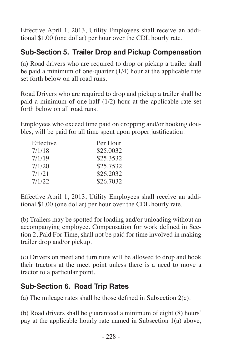Effective April 1, 2013, Utility Employees shall receive an additional \$1.00 (one dollar) per hour over the CDL hourly rate.

### **Sub-Section 5. Trailer Drop and Pickup Compensation**

(a) Road drivers who are required to drop or pickup a trailer shall be paid a minimum of one-quarter (1/4) hour at the applicable rate set forth below on all road runs.

Road Drivers who are required to drop and pickup a trailer shall be paid a minimum of one-half (1/2) hour at the applicable rate set forth below on all road runs.

Employees who exceed time paid on dropping and/or hooking doubles, will be paid for all time spent upon proper justification.

| Effective | Per Hour  |
|-----------|-----------|
| 7/1/18    | \$25,0032 |
| 7/1/19    | \$25.3532 |
| 7/1/20    | \$25.7532 |
| 7/1/21    | \$26.2032 |
| 7/1/22    | \$26,7032 |

Effective April 1, 2013, Utility Employees shall receive an additional \$1.00 (one dollar) per hour over the CDL hourly rate.

(b) Trailers may be spotted for loading and/or unloading without an accompanying employee. Compensation for work defined in Section 2, Paid For Time, shall not be paid for time involved in making trailer drop and/or pickup.

(c) Drivers on meet and turn runs will be allowed to drop and hook their tractors at the meet point unless there is a need to move a tractor to a particular point.

#### **Sub-Section 6. Road Trip Rates**

(a) The mileage rates shall be those defined in Subsection 2(c).

(b) Road drivers shall be guaranteed a minimum of eight (8) hours' pay at the applicable hourly rate named in Subsection 1(a) above,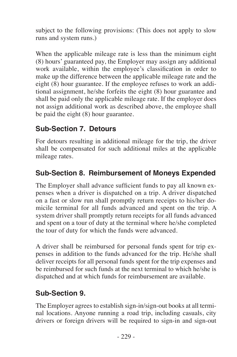subject to the following provisions: (This does not apply to slow runs and system runs.)

When the applicable mileage rate is less than the minimum eight (8) hours' guaranteed pay, the Employer may assign any additional work available, within the employee's classification in order to make up the difference between the applicable mileage rate and the eight (8) hour guarantee. If the employee refuses to work an additional assignment, he/she forfeits the eight (8) hour guarantee and shall be paid only the applicable mileage rate. If the employer does not assign additional work as described above, the employee shall be paid the eight (8) hour guarantee.

#### **Sub-Section 7. Detours**

For detours resulting in additional mileage for the trip, the driver shall be compensated for such additional miles at the applicable mileage rates.

### **Sub-Section 8. Reimbursement of Moneys Expended**

The Employer shall advance sufficient funds to pay all known expenses when a driver is dispatched on a trip. A driver dispatched on a fast or slow run shall promptly return receipts to his/her domicile terminal for all funds advanced and spent on the trip. A system driver shall promptly return receipts for all funds advanced and spent on a tour of duty at the terminal where he/she completed the tour of duty for which the funds were advanced.

A driver shall be reimbursed for personal funds spent for trip expenses in addition to the funds advanced for the trip. He/she shall deliver receipts for all personal funds spent for the trip expenses and be reimbursed for such funds at the next terminal to which he/she is dispatched and at which funds for reimbursement are available.

#### **Sub-Section 9.**

The Employer agrees to establish sign-in/sign-out books at all terminal locations. Anyone running a road trip, including casuals, city drivers or foreign drivers will be required to sign-in and sign-out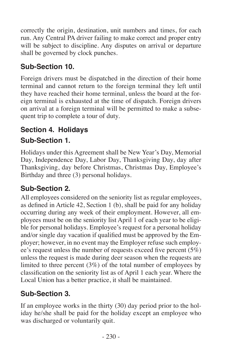correctly the origin, destination, unit numbers and times, for each run. Any Central PA driver failing to make correct and proper entry will be subject to discipline. Any disputes on arrival or departure shall be governed by clock punches.

# **Sub-Section 10.**

Foreign drivers must be dispatched in the direction of their home terminal and cannot return to the foreign terminal they left until they have reached their home terminal, unless the board at the foreign terminal is exhausted at the time of dispatch. Foreign drivers on arrival at a foreign terminal will be permitted to make a subsequent trip to complete a tour of duty.

# **Section 4. Holidays**

# **Sub-Section 1.**

Holidays under this Agreement shall be New Year's Day, Memorial Day, Independence Day, Labor Day, Thanksgiving Day, day after Thanksgiving, day before Christmas, Christmas Day, Employee's Birthday and three (3) personal holidays.

# **Sub-Section 2.**

All employees considered on the seniority list as regular employees, as defined in Article 42, Section 1 (b), shall be paid for any holiday occurring during any week of their employment. However, all employees must be on the seniority list April 1 of each year to be eligible for personal holidays. Employee's request for a personal holiday and/or single day vacation if qualified must be approved by the Employer; however, in no event may the Employer refuse such employee's request unless the number of requests exceed five percent  $(5\%)$ unless the request is made during deer season when the requests are limited to three percent (3%) of the total number of employees by classification on the seniority list as of April 1 each year. Where the Local Union has a better practice, it shall be maintained.

# **Sub-Section 3.**

If an employee works in the thirty (30) day period prior to the holiday he/she shall be paid for the holiday except an employee who was discharged or voluntarily quit.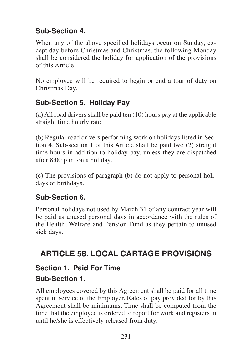### **Sub-Section 4.**

When any of the above specified holidays occur on Sunday, except day before Christmas and Christmas, the following Monday shall be considered the holiday for application of the provisions of this Article.

No employee will be required to begin or end a tour of duty on Christmas Day.

# **Sub-Section 5. Holiday Pay**

(a) All road drivers shall be paid ten (10) hours pay at the applicable straight time hourly rate.

(b) Regular road drivers performing work on holidays listed in Section 4, Sub-section 1 of this Article shall be paid two (2) straight time hours in addition to holiday pay, unless they are dispatched after 8:00 p.m. on a holiday.

(c) The provisions of paragraph (b) do not apply to personal holidays or birthdays.

### **Sub-Section 6.**

Personal holidays not used by March 31 of any contract year will be paid as unused personal days in accordance with the rules of the Health, Welfare and Pension Fund as they pertain to unused sick days.

# **ARTICLE 58. LOCAL CARTAGE PROVISIONS**

# **Section 1. Paid For Time**

#### **Sub-Section 1.**

All employees covered by this Agreement shall be paid for all time spent in service of the Employer. Rates of pay provided for by this Agreement shall be minimums. Time shall be computed from the time that the employee is ordered to report for work and registers in until he/she is effectively released from duty.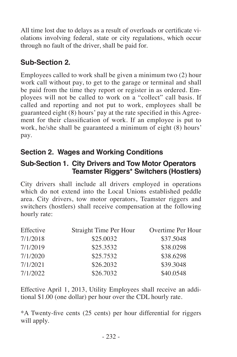All time lost due to delays as a result of overloads or certificate violations involving federal, state or city regulations, which occur through no fault of the driver, shall be paid for.

### **Sub-Section 2.**

Employees called to work shall be given a minimum two (2) hour work call without pay, to get to the garage or terminal and shall be paid from the time they report or register in as ordered. Employees will not be called to work on a "collect" call basis. If called and reporting and not put to work, employees shall be guaranteed eight (8) hours' pay at the rate specified in this Agreement for their classification of work. If an employee is put to work, he/she shall be guaranteed a minimum of eight (8) hours' pay.

### **Section 2. Wages and Working Conditions**

#### **Sub-Section 1. City Drivers and Tow Motor Operators Teamster Riggers\* Switchers (Hostlers)**

City drivers shall include all drivers employed in operations which do not extend into the Local Unions established peddle area. City drivers, tow motor operators, Teamster riggers and switchers (hostlers) shall receive compensation at the following hourly rate:

| Effective | Straight Time Per Hour | Overtime Per Hour |
|-----------|------------------------|-------------------|
| 7/1/2018  | \$25,0032              | \$37.5048         |
| 7/1/2019  | \$25.3532              | \$38,0298         |
| 7/1/2020  | \$25.7532              | \$38,6298         |
| 7/1/2021  | \$26.2032              | \$39,3048         |
| 7/1/2022  | \$26,7032              | \$40.0548         |

Effective April 1, 2013, Utility Employees shall receive an additional \$1.00 (one dollar) per hour over the CDL hourly rate.

\*A Twenty-five cents (25 cents) per hour differential for riggers will apply.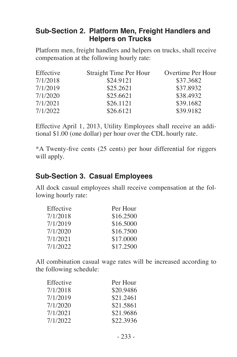#### **Sub-Section 2. Platform Men, Freight Handlers and Helpers on Trucks**

Platform men, freight handlers and helpers on trucks, shall receive compensation at the following hourly rate:

| Effective | Straight Time Per Hour | Overtime Per Hour |
|-----------|------------------------|-------------------|
| 7/1/2018  | \$24.9121              | \$37.3682         |
| 7/1/2019  | \$25.2621              | \$37.8932         |
| 7/1/2020  | \$25.6621              | \$38.4932         |
| 7/1/2021  | \$26.1121              | \$39.1682         |
| 7/1/2022  | \$26.6121              | \$39.9182         |

Effective April 1, 2013, Utility Employees shall receive an additional \$1.00 (one dollar) per hour over the CDL hourly rate.

\*A Twenty-five cents (25 cents) per hour differential for riggers will apply.

#### **Sub-Section 3. Casual Employees**

All dock casual employees shall receive compensation at the following hourly rate:

| Effective | Per Hour  |
|-----------|-----------|
| 7/1/2018  | \$16,2500 |
| 7/1/2019  | \$16,5000 |
| 7/1/2020  | \$16,7500 |
| 7/1/2021  | \$17,0000 |
| 7/1/2022  | \$17.2500 |

All combination casual wage rates will be increased according to the following schedule:

| Effective | Per Hour  |
|-----------|-----------|
| 7/1/2018  | \$20.9486 |
| 7/1/2019  | \$21.2461 |
| 7/1/2020  | \$21.5861 |
| 7/1/2021  | \$21.9686 |
| 7/1/2022  | \$22.3936 |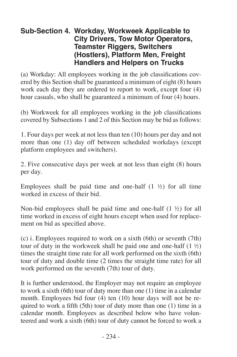#### **Sub-Section 4. Workday, Workweek Applicable to City Drivers, Tow Motor Operators, Teamster Riggers, Switchers (Hostlers), Platform Men, Freight Handlers and Helpers on Trucks**

(a) Workday: All employees working in the job classifications covered by this Section shall be guaranteed a minimum of eight (8) hours work each day they are ordered to report to work, except four (4) hour casuals, who shall be guaranteed a minimum of four (4) hours.

(b) Workweek for all employees working in the job classifications covered by Subsections 1 and 2 of this Section may be bid as follows:

1. Four days per week at not less than ten (10) hours per day and not more than one (1) day off between scheduled workdays (except platform employees and switchers).

2. Five consecutive days per week at not less than eight (8) hours per day.

Employees shall be paid time and one-half  $(1 \frac{1}{2})$  for all time worked in excess of their bid.

Non-bid employees shall be paid time and one-half (1 ½) for all time worked in excess of eight hours except when used for replacement on bid as specified above.

(c) i. Employees required to work on a sixth (6th) or seventh (7th) tour of duty in the workweek shall be paid one and one-half  $(1 \frac{1}{2})$ times the straight time rate for all work performed on the sixth (6th) tour of duty and double time (2 times the straight time rate) for all work performed on the seventh (7th) tour of duty.

It is further understood, the Employer may not require an employee to work a sixth (6th) tour of duty more than one (1) time in a calendar month. Employees bid four (4) ten (10) hour days will not be required to work a fifth (5th) tour of duty more than one (1) time in a calendar month. Employees as described below who have volunteered and work a sixth (6th) tour of duty cannot be forced to work a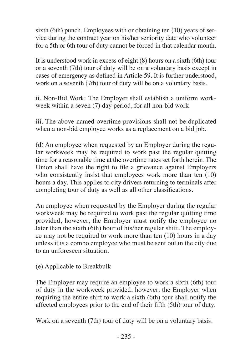sixth (6th) punch. Employees with or obtaining ten (10) years of service during the contract year on his/her seniority date who volunteer for a 5th or 6th tour of duty cannot be forced in that calendar month.

It is understood work in excess of eight (8) hours on a sixth (6th) tour or a seventh (7th) tour of duty will be on a voluntary basis except in cases of emergency as defined in Article 59. It is further understood, work on a seventh (7th) tour of duty will be on a voluntary basis.

ii. Non-Bid Work: The Employer shall establish a uniform workweek within a seven (7) day period, for all non-bid work.

iii. The above-named overtime provisions shall not be duplicated when a non-bid employee works as a replacement on a bid job.

(d) An employee when requested by an Employer during the regular workweek may be required to work past the regular quitting time for a reasonable time at the overtime rates set forth herein. The Union shall have the right to file a grievance against Employers who consistently insist that employees work more than ten (10) hours a day. This applies to city drivers returning to terminals after completing tour of duty as well as all other classifications.

An employee when requested by the Employer during the regular workweek may be required to work past the regular quitting time provided, however, the Employer must notify the employee no later than the sixth (6th) hour of his/her regular shift. The employee may not be required to work more than ten (10) hours in a day unless it is a combo employee who must be sent out in the city due to an unforeseen situation.

(e) Applicable to Breakbulk

The Employer may require an employee to work a sixth (6th) tour of duty in the workweek provided, however, the Employer when requiring the entire shift to work a sixth (6th) tour shall notify the affected employees prior to the end of their fifth (5th) tour of duty.

Work on a seventh (7th) tour of duty will be on a voluntary basis.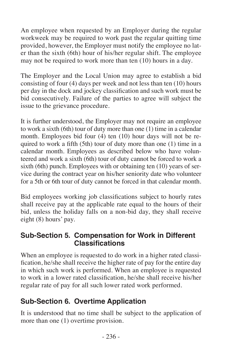An employee when requested by an Employer during the regular workweek may be required to work past the regular quitting time provided, however, the Employer must notify the employee no later than the sixth (6th) hour of his/her regular shift. The employee may not be required to work more than ten (10) hours in a day.

The Employer and the Local Union may agree to establish a bid consisting of four (4) days per week and not less than ten (10) hours per day in the dock and jockey classification and such work must be bid consecutively. Failure of the parties to agree will subject the issue to the grievance procedure.

It is further understood, the Employer may not require an employee to work a sixth (6th) tour of duty more than one (1) time in a calendar month. Employees bid four (4) ten (10) hour days will not be required to work a fifth (5th) tour of duty more than one (1) time in a calendar month. Employees as described below who have volunteered and work a sixth (6th) tour of duty cannot be forced to work a sixth (6th) punch. Employees with or obtaining ten (10) years of service during the contract year on his/her seniority date who volunteer for a 5th or 6th tour of duty cannot be forced in that calendar month.

Bid employees working job classifications subject to hourly rates shall receive pay at the applicable rate equal to the hours of their bid, unless the holiday falls on a non-bid day, they shall receive eight (8) hours' pay.

#### **Sub-Section 5. Compensation for Work in Different Classifications**

When an employee is requested to do work in a higher rated classification, he/she shall receive the higher rate of pay for the entire day in which such work is performed. When an employee is requested to work in a lower rated classification, he/she shall receive his/her regular rate of pay for all such lower rated work performed.

#### **Sub-Section 6. Overtime Application**

It is understood that no time shall be subject to the application of more than one (1) overtime provision.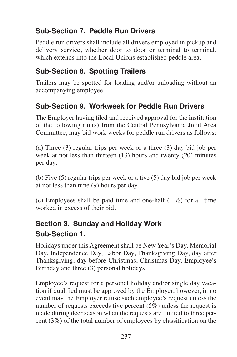# **Sub-Section 7. Peddle Run Drivers**

Peddle run drivers shall include all drivers employed in pickup and delivery service, whether door to door or terminal to terminal. which extends into the Local Unions established peddle area.

## **Sub-Section 8. Spotting Trailers**

Trailers may be spotted for loading and/or unloading without an accompanying employee.

### **Sub-Section 9. Workweek for Peddle Run Drivers**

The Employer having filed and received approval for the institution of the following run(s) from the Central Pennsylvania Joint Area Committee, may bid work weeks for peddle run drivers as follows:

(a) Three (3) regular trips per week or a three (3) day bid job per week at not less than thirteen (13) hours and twenty (20) minutes per day.

(b) Five (5) regular trips per week or a five (5) day bid job per week at not less than nine (9) hours per day.

(c) Employees shall be paid time and one-half  $(1 \frac{1}{2})$  for all time worked in excess of their bid.

### **Section 3. Sunday and Holiday Work Sub-Section 1.**

Holidays under this Agreement shall be New Year's Day, Memorial Day, Independence Day, Labor Day, Thanksgiving Day, day after Thanksgiving, day before Christmas, Christmas Day, Employee's Birthday and three (3) personal holidays.

Employee's request for a personal holiday and/or single day vacation if qualified must be approved by the Employer; however, in no event may the Employer refuse such employee's request unless the number of requests exceeds five percent (5%) unless the request is made during deer season when the requests are limited to three percent (3%) of the total number of employees by classification on the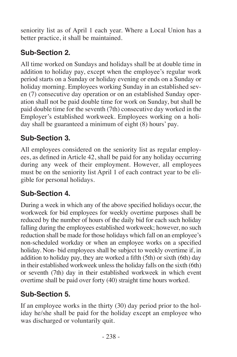seniority list as of April 1 each year. Where a Local Union has a better practice, it shall be maintained.

# **Sub-Section 2.**

All time worked on Sundays and holidays shall be at double time in addition to holiday pay, except when the employee's regular work period starts on a Sunday or holiday evening or ends on a Sunday or holiday morning. Employees working Sunday in an established seven (7) consecutive day operation or on an established Sunday operation shall not be paid double time for work on Sunday, but shall be paid double time for the seventh (7th) consecutive day worked in the Employer's established workweek. Employees working on a holiday shall be guaranteed a minimum of eight (8) hours' pay.

# **Sub-Section 3.**

All employees considered on the seniority list as regular employees, as defined in Article 42, shall be paid for any holiday occurring during any week of their employment. However, all employees must be on the seniority list April 1 of each contract year to be eligible for personal holidays.

# **Sub-Section 4.**

During a week in which any of the above specified holidays occur, the workweek for bid employees for weekly overtime purposes shall be reduced by the number of hours of the daily bid for each such holiday falling during the employees established workweek; however, no such reduction shall be made for those holidays which fall on an employee's non-scheduled workday or when an employee works on a specified holiday. Non- bid employees shall be subject to weekly overtime if, in addition to holiday pay, they are worked a fifth (5th) or sixth (6th) day in their established workweek unless the holiday falls on the sixth (6th) or seventh (7th) day in their established workweek in which event overtime shall be paid over forty (40) straight time hours worked.

# **Sub-Section 5.**

If an employee works in the thirty (30) day period prior to the holiday he/she shall be paid for the holiday except an employee who was discharged or voluntarily quit.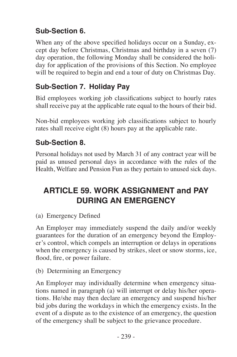### **Sub-Section 6.**

When any of the above specified holidays occur on a Sunday, except day before Christmas, Christmas and birthday in a seven (7) day operation, the following Monday shall be considered the holiday for application of the provisions of this Section. No employee will be required to begin and end a tour of duty on Christmas Day.

### **Sub-Section 7. Holiday Pay**

Bid employees working job classifications subject to hourly rates shall receive pay at the applicable rate equal to the hours of their bid.

Non-bid employees working job classifications subject to hourly rates shall receive eight (8) hours pay at the applicable rate.

#### **Sub-Section 8.**

Personal holidays not used by March 31 of any contract year will be paid as unused personal days in accordance with the rules of the Health, Welfare and Pension Fun as they pertain to unused sick days.

# **ARTICLE 59. WORK ASSIGNMENT and PAY DURING AN EMERGENCY**

(a) Emergency Defined

An Employer may immediately suspend the daily and/or weekly guarantees for the duration of an emergency beyond the Employer's control, which compels an interruption or delays in operations when the emergency is caused by strikes, sleet or snow storms, ice, flood, fire, or power failure.

(b) Determining an Emergency

An Employer may individually determine when emergency situations named in paragraph (a) will interrupt or delay his/her operations. He/she may then declare an emergency and suspend his/her bid jobs during the workdays in which the emergency exists. In the event of a dispute as to the existence of an emergency, the question of the emergency shall be subject to the grievance procedure.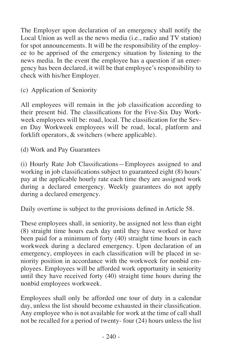The Employer upon declaration of an emergency shall notify the Local Union as well as the news media (i.e., radio and TV station) for spot announcements. It will be the responsibility of the employee to be apprised of the emergency situation by listening to the news media. In the event the employee has a question if an emergency has been declared, it will be that employee's responsibility to check with his/her Employer.

(c) Application of Seniority

All employees will remain in the job classification according to their present bid. The classifications for the Five-Six Day Workweek employees will be: road, local. The classification for the Seven Day Workweek employees will be road, local, platform and forklift operators, & switchers (where applicable).

(d) Work and Pay Guarantees

(i) Hourly Rate Job Classifications—Employees assigned to and working in job classifications subject to guaranteed eight (8) hours' pay at the applicable hourly rate each time they are assigned work during a declared emergency. Weekly guarantees do not apply during a declared emergency.

Daily overtime is subject to the provisions defined in Article 58.

These employees shall, in seniority, be assigned not less than eight (8) straight time hours each day until they have worked or have been paid for a minimum of forty (40) straight time hours in each workweek during a declared emergency. Upon declaration of an emergency, employees in each classification will be placed in seniority position in accordance with the workweek for nonbid employees. Employees will be afforded work opportunity in seniority until they have received forty (40) straight time hours during the nonbid employees workweek.

Employees shall only be afforded one tour of duty in a calendar day, unless the list should become exhausted in their classification. Any employee who is not available for work at the time of call shall not be recalled for a period of twenty- four (24) hours unless the list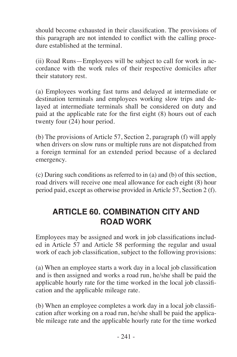should become exhausted in their classification. The provisions of this paragraph are not intended to conflict with the calling procedure established at the terminal.

(ii) Road Runs—Employees will be subject to call for work in accordance with the work rules of their respective domiciles after their statutory rest.

(a) Employees working fast turns and delayed at intermediate or destination terminals and employees working slow trips and delayed at intermediate terminals shall be considered on duty and paid at the applicable rate for the first eight (8) hours out of each twenty four (24) hour period.

(b) The provisions of Article 57, Section 2, paragraph (f) will apply when drivers on slow runs or multiple runs are not dispatched from a foreign terminal for an extended period because of a declared emergency.

(c) During such conditions as referred to in (a) and (b) of this section, road drivers will receive one meal allowance for each eight (8) hour period paid, except as otherwise provided in Article 57, Section 2 (f).

# **ARTICLE 60. COMBINATION CITY AND ROAD WORK**

Employees may be assigned and work in job classifications included in Article 57 and Article 58 performing the regular and usual work of each job classification, subject to the following provisions:

(a) When an employee starts a work day in a local job classification and is then assigned and works a road run, he/she shall be paid the applicable hourly rate for the time worked in the local job classification and the applicable mileage rate.

(b) When an employee completes a work day in a local job classification after working on a road run, he/she shall be paid the applicable mileage rate and the applicable hourly rate for the time worked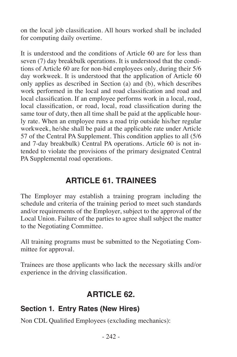on the local job classification. All hours worked shall be included for computing daily overtime.

It is understood and the conditions of Article 60 are for less than seven (7) day breakbulk operations. It is understood that the conditions of Article 60 are for non-bid employees only, during their 5/6 day workweek. It is understood that the application of Article 60 only applies as described in Section (a) and (b), which describes work performed in the local and road classification and road and local classification. If an employee performs work in a local, road, local classification, or road, local, road classification during the same tour of duty, then all time shall be paid at the applicable hourly rate. When an employee runs a road trip outside his/her regular workweek, he/she shall be paid at the applicable rate under Article 57 of the Central PA Supplement. This condition applies to all (5/6 and 7-day breakbulk) Central PA operations. Article 60 is not intended to violate the provisions of the primary designated Central PA Supplemental road operations.

# **ARTICLE 61. TRAINEES**

The Employer may establish a training program including the schedule and criteria of the training period to meet such standards and/or requirements of the Employer, subject to the approval of the Local Union. Failure of the parties to agree shall subject the matter to the Negotiating Committee.

All training programs must be submitted to the Negotiating Committee for approval.

Trainees are those applicants who lack the necessary skills and/or experience in the driving classification.

# **ARTICLE 62.**

#### **Section 1. Entry Rates (New Hires)**

Non CDL Qualified Employees (excluding mechanics):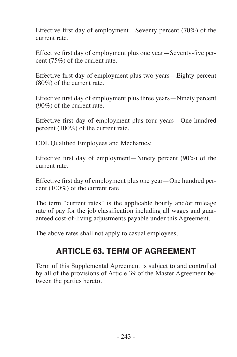Effective first day of employment—Seventy percent (70%) of the current rate.

Effective first day of employment plus one year—Seventy-five percent (75%) of the current rate.

Effective first day of employment plus two years—Eighty percent (80%) of the current rate.

Effective first day of employment plus three years—Ninety percent (90%) of the current rate.

Effective first day of employment plus four years—One hundred percent (100%) of the current rate.

CDL Qualified Employees and Mechanics:

Effective first day of employment—Ninety percent (90%) of the current rate.

Effective first day of employment plus one year—One hundred percent (100%) of the current rate.

The term "current rates" is the applicable hourly and/or mileage rate of pay for the job classification including all wages and guaranteed cost-of-living adjustments payable under this Agreement.

The above rates shall not apply to casual employees.

# **ARTICLE 63. TERM OF AGREEMENT**

Term of this Supplemental Agreement is subject to and controlled by all of the provisions of Article 39 of the Master Agreement between the parties hereto.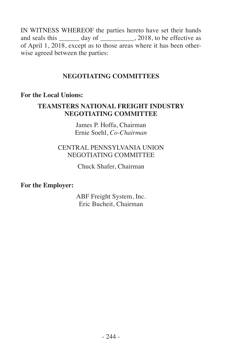IN WITNESS WHEREOF the parties hereto have set their hands and seals this \_\_\_\_\_\_\_ day of \_\_\_\_\_\_\_\_, 2018, to be effective as of April 1, 2018, except as to those areas where it has been otherwise agreed between the parties:

## **NEGOTIATING COMMITTEES**

#### **For the Local Unions:**

## **TEAMSTERS NATIONAL FREIGHT INDUSTRY NEGOTIATING COMMITTEE**

James P. Hoffa, Chairman Ernie Soehl, *Co-Chairman*

### CENTRAL PENNSYLVANIA UNION NEGOTIATING COMMITTEE

Chuck Shafer, Chairman

#### **For the Employer:**

ABF Freight System, Inc. Eric Bucheit, Chairman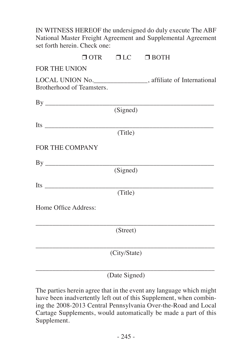| IN WITNESS HEREOF the undersigned do duly execute The ABF<br>National Master Freight Agreement and Supplemental Agreement<br>set forth herein. Check one: |                                  |  |
|-----------------------------------------------------------------------------------------------------------------------------------------------------------|----------------------------------|--|
|                                                                                                                                                           | $\Box$ OTR $\Box$ LC $\Box$ BOTH |  |
| <b>FOR THE UNION</b>                                                                                                                                      |                                  |  |
| LOCAL UNION No. ___________________, affiliate of International<br>Brotherhood of Teamsters.                                                              |                                  |  |
| $\mathbf{B} \mathbf{y}$                                                                                                                                   |                                  |  |
|                                                                                                                                                           | (Signed)                         |  |
|                                                                                                                                                           |                                  |  |
|                                                                                                                                                           | (Title)                          |  |
| <b>FOR THE COMPANY</b>                                                                                                                                    |                                  |  |
| $\mathbf{B} \mathbf{v}$                                                                                                                                   |                                  |  |
|                                                                                                                                                           | (Signed)                         |  |
|                                                                                                                                                           |                                  |  |
|                                                                                                                                                           | (Title)                          |  |
| Home Office Address:                                                                                                                                      |                                  |  |
|                                                                                                                                                           | (Street)                         |  |
|                                                                                                                                                           | (City/State)                     |  |
|                                                                                                                                                           |                                  |  |

(Date Signed)

The parties herein agree that in the event any language which might have been inadvertently left out of this Supplement, when combining the 2008-2013 Central Pennsylvania Over-the-Road and Local Cartage Supplements, would automatically be made a part of this Supplement.